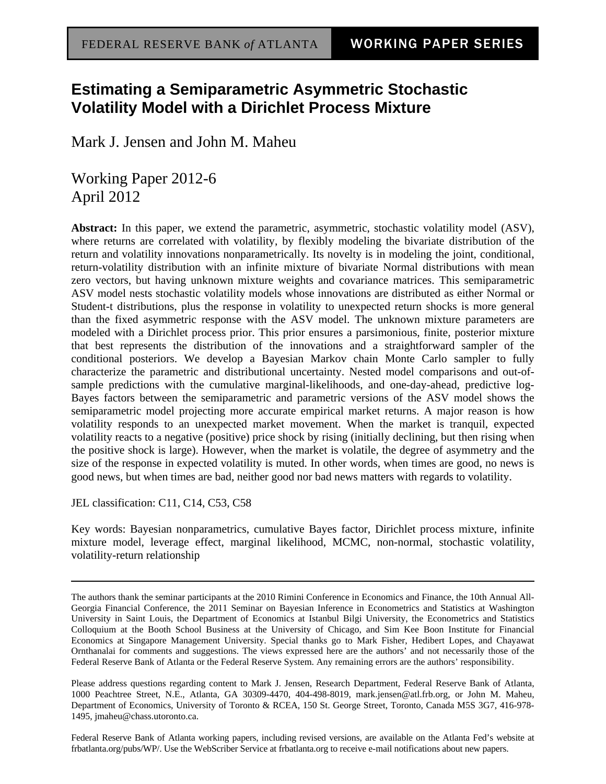# **Estimating a Semiparametric Asymmetric Stochastic Volatility Model with a Dirichlet Process Mixture**

Mark J. Jensen and John M. Maheu

Working Paper 2012-6 April 2012

**Abstract:** In this paper, we extend the parametric, asymmetric, stochastic volatility model (ASV), where returns are correlated with volatility, by flexibly modeling the bivariate distribution of the return and volatility innovations nonparametrically. Its novelty is in modeling the joint, conditional, return-volatility distribution with an infinite mixture of bivariate Normal distributions with mean zero vectors, but having unknown mixture weights and covariance matrices. This semiparametric ASV model nests stochastic volatility models whose innovations are distributed as either Normal or Student-t distributions, plus the response in volatility to unexpected return shocks is more general than the fixed asymmetric response with the ASV model. The unknown mixture parameters are modeled with a Dirichlet process prior. This prior ensures a parsimonious, finite, posterior mixture that best represents the distribution of the innovations and a straightforward sampler of the conditional posteriors. We develop a Bayesian Markov chain Monte Carlo sampler to fully characterize the parametric and distributional uncertainty. Nested model comparisons and out-ofsample predictions with the cumulative marginal-likelihoods, and one-day-ahead, predictive log-Bayes factors between the semiparametric and parametric versions of the ASV model shows the semiparametric model projecting more accurate empirical market returns. A major reason is how volatility responds to an unexpected market movement. When the market is tranquil, expected volatility reacts to a negative (positive) price shock by rising (initially declining, but then rising when the positive shock is large). However, when the market is volatile, the degree of asymmetry and the size of the response in expected volatility is muted. In other words, when times are good, no news is good news, but when times are bad, neither good nor bad news matters with regards to volatility.

JEL classification: C11, C14, C53, C58

Key words: Bayesian nonparametrics, cumulative Bayes factor, Dirichlet process mixture, infinite mixture model, leverage effect, marginal likelihood, MCMC, non-normal, stochastic volatility, volatility-return relationship

Federal Reserve Bank of Atlanta working papers, including revised versions, are available on the Atlanta Fed's website at frbatlanta.org/pubs/WP/. Use the WebScriber Service at frbatlanta.org to receive e-mail notifications about new papers.

The authors thank the seminar participants at the 2010 Rimini Conference in Economics and Finance, the 10th Annual All-Georgia Financial Conference, the 2011 Seminar on Bayesian Inference in Econometrics and Statistics at Washington University in Saint Louis, the Department of Economics at Istanbul Bilgi University, the Econometrics and Statistics Colloquium at the Booth School Business at the University of Chicago, and Sim Kee Boon Institute for Financial Economics at Singapore Management University. Special thanks go to Mark Fisher, Hedibert Lopes, and Chayawat Ornthanalai for comments and suggestions. The views expressed here are the authors' and not necessarily those of the Federal Reserve Bank of Atlanta or the Federal Reserve System. Any remaining errors are the authors' responsibility.

Please address questions regarding content to Mark J. Jensen, Research Department, Federal Reserve Bank of Atlanta, 1000 Peachtree Street, N.E., Atlanta, GA 30309-4470, 404-498-8019, mark.jensen@atl.frb.org, or John M. Maheu, Department of Economics, University of Toronto & RCEA, 150 St. George Street, Toronto, Canada M5S 3G7, 416-978- 1495, jmaheu@chass.utoronto.ca.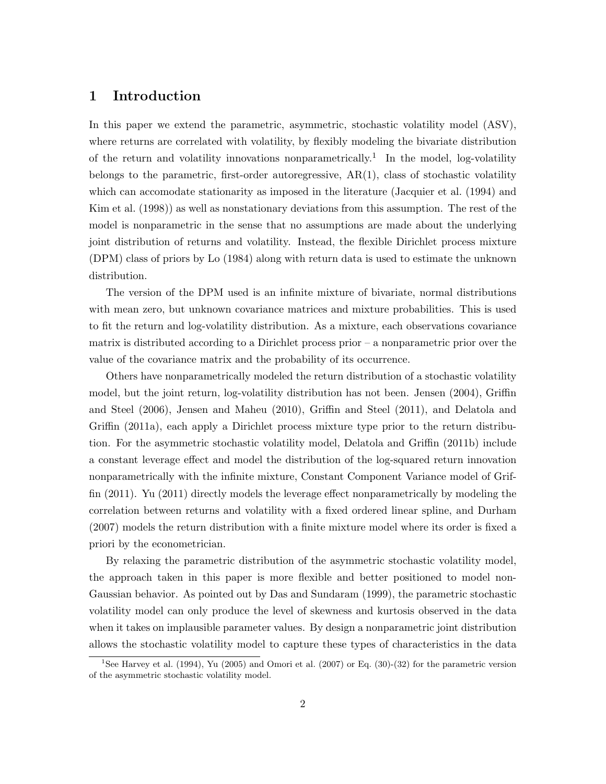# 1 Introduction

In this paper we extend the parametric, asymmetric, stochastic volatility model (ASV), where returns are correlated with volatility, by flexibly modeling the bivariate distribution of the return and volatility innovations nonparametrically.<sup>1</sup> In the model, log-volatility belongs to the parametric, first-order autoregressive,  $AR(1)$ , class of stochastic volatility which can accomodate stationarity as imposed in the literature (Jacquier et al. (1994) and Kim et al. (1998)) as well as nonstationary deviations from this assumption. The rest of the model is nonparametric in the sense that no assumptions are made about the underlying joint distribution of returns and volatility. Instead, the flexible Dirichlet process mixture (DPM) class of priors by Lo (1984) along with return data is used to estimate the unknown distribution.

The version of the DPM used is an infinite mixture of bivariate, normal distributions with mean zero, but unknown covariance matrices and mixture probabilities. This is used to fit the return and log-volatility distribution. As a mixture, each observations covariance matrix is distributed according to a Dirichlet process prior – a nonparametric prior over the value of the covariance matrix and the probability of its occurrence.

Others have nonparametrically modeled the return distribution of a stochastic volatility model, but the joint return, log-volatility distribution has not been. Jensen (2004), Griffin and Steel (2006), Jensen and Maheu (2010), Griffin and Steel (2011), and Delatola and Griffin (2011a), each apply a Dirichlet process mixture type prior to the return distribution. For the asymmetric stochastic volatility model, Delatola and Griffin (2011b) include a constant leverage effect and model the distribution of the log-squared return innovation nonparametrically with the infinite mixture, Constant Component Variance model of Griffin (2011). Yu (2011) directly models the leverage effect nonparametrically by modeling the correlation between returns and volatility with a fixed ordered linear spline, and Durham (2007) models the return distribution with a finite mixture model where its order is fixed a priori by the econometrician.

By relaxing the parametric distribution of the asymmetric stochastic volatility model, the approach taken in this paper is more flexible and better positioned to model non-Gaussian behavior. As pointed out by Das and Sundaram (1999), the parametric stochastic volatility model can only produce the level of skewness and kurtosis observed in the data when it takes on implausible parameter values. By design a nonparametric joint distribution allows the stochastic volatility model to capture these types of characteristics in the data

<sup>&</sup>lt;sup>1</sup>See Harvey et al. (1994), Yu (2005) and Omori et al. (2007) or Eq. (30)-(32) for the parametric version of the asymmetric stochastic volatility model.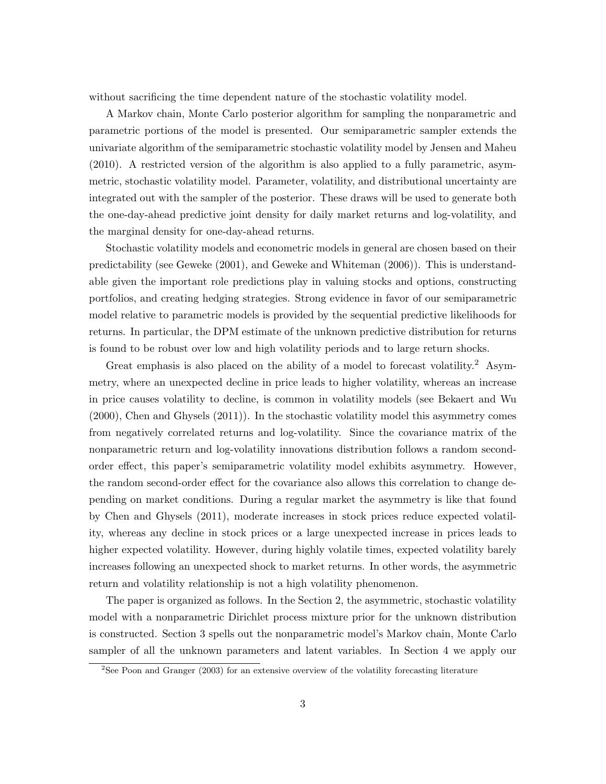without sacrificing the time dependent nature of the stochastic volatility model.

A Markov chain, Monte Carlo posterior algorithm for sampling the nonparametric and parametric portions of the model is presented. Our semiparametric sampler extends the univariate algorithm of the semiparametric stochastic volatility model by Jensen and Maheu (2010). A restricted version of the algorithm is also applied to a fully parametric, asymmetric, stochastic volatility model. Parameter, volatility, and distributional uncertainty are integrated out with the sampler of the posterior. These draws will be used to generate both the one-day-ahead predictive joint density for daily market returns and log-volatility, and the marginal density for one-day-ahead returns.

Stochastic volatility models and econometric models in general are chosen based on their predictability (see Geweke (2001), and Geweke and Whiteman (2006)). This is understandable given the important role predictions play in valuing stocks and options, constructing portfolios, and creating hedging strategies. Strong evidence in favor of our semiparametric model relative to parametric models is provided by the sequential predictive likelihoods for returns. In particular, the DPM estimate of the unknown predictive distribution for returns is found to be robust over low and high volatility periods and to large return shocks.

Great emphasis is also placed on the ability of a model to forecast volatility.<sup>2</sup> Asymmetry, where an unexpected decline in price leads to higher volatility, whereas an increase in price causes volatility to decline, is common in volatility models (see Bekaert and Wu (2000), Chen and Ghysels (2011)). In the stochastic volatility model this asymmetry comes from negatively correlated returns and log-volatility. Since the covariance matrix of the nonparametric return and log-volatility innovations distribution follows a random secondorder effect, this paper's semiparametric volatility model exhibits asymmetry. However, the random second-order effect for the covariance also allows this correlation to change depending on market conditions. During a regular market the asymmetry is like that found by Chen and Ghysels (2011), moderate increases in stock prices reduce expected volatility, whereas any decline in stock prices or a large unexpected increase in prices leads to higher expected volatility. However, during highly volatile times, expected volatility barely increases following an unexpected shock to market returns. In other words, the asymmetric return and volatility relationship is not a high volatility phenomenon.

The paper is organized as follows. In the Section 2, the asymmetric, stochastic volatility model with a nonparametric Dirichlet process mixture prior for the unknown distribution is constructed. Section 3 spells out the nonparametric model's Markov chain, Monte Carlo sampler of all the unknown parameters and latent variables. In Section 4 we apply our

 $2$ See Poon and Granger (2003) for an extensive overview of the volatility forecasting literature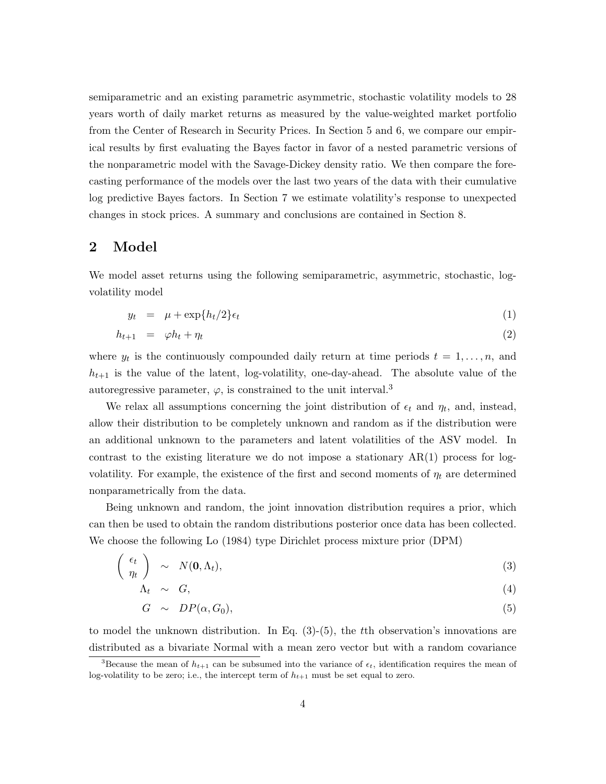semiparametric and an existing parametric asymmetric, stochastic volatility models to 28 years worth of daily market returns as measured by the value-weighted market portfolio from the Center of Research in Security Prices. In Section 5 and 6, we compare our empirical results by first evaluating the Bayes factor in favor of a nested parametric versions of the nonparametric model with the Savage-Dickey density ratio. We then compare the forecasting performance of the models over the last two years of the data with their cumulative log predictive Bayes factors. In Section 7 we estimate volatility's response to unexpected changes in stock prices. A summary and conclusions are contained in Section 8.

## 2 Model

We model asset returns using the following semiparametric, asymmetric, stochastic, logvolatility model

$$
y_t = \mu + \exp\{h_t/2\}\epsilon_t \tag{1}
$$

$$
h_{t+1} = \varphi h_t + \eta_t \tag{2}
$$

where  $y_t$  is the continuously compounded daily return at time periods  $t = 1, \ldots, n$ , and  $h_{t+1}$  is the value of the latent, log-volatility, one-day-ahead. The absolute value of the autoregressive parameter,  $\varphi$ , is constrained to the unit interval.<sup>3</sup>

We relax all assumptions concerning the joint distribution of  $\epsilon_t$  and  $\eta_t$ , and, instead, allow their distribution to be completely unknown and random as if the distribution were an additional unknown to the parameters and latent volatilities of the ASV model. In contrast to the existing literature we do not impose a stationary  $AR(1)$  process for logvolatility. For example, the existence of the first and second moments of  $\eta_t$  are determined nonparametrically from the data.

Being unknown and random, the joint innovation distribution requires a prior, which can then be used to obtain the random distributions posterior once data has been collected. We choose the following Lo (1984) type Dirichlet process mixture prior (DPM)

$$
\left(\begin{array}{c}\epsilon_t\\\eta_t\end{array}\right) \sim N(\mathbf{0}, \Lambda_t),\tag{3}
$$

$$
\Lambda_t \sim G, \tag{4}
$$

$$
G \sim DP(\alpha, G_0), \tag{5}
$$

to model the unknown distribution. In Eq.  $(3)-(5)$ , the tth observation's innovations are distributed as a bivariate Normal with a mean zero vector but with a random covariance

<sup>&</sup>lt;sup>3</sup>Because the mean of  $h_{t+1}$  can be subsumed into the variance of  $\epsilon_t$ , identification requires the mean of log-volatility to be zero; i.e., the intercept term of  $h_{t+1}$  must be set equal to zero.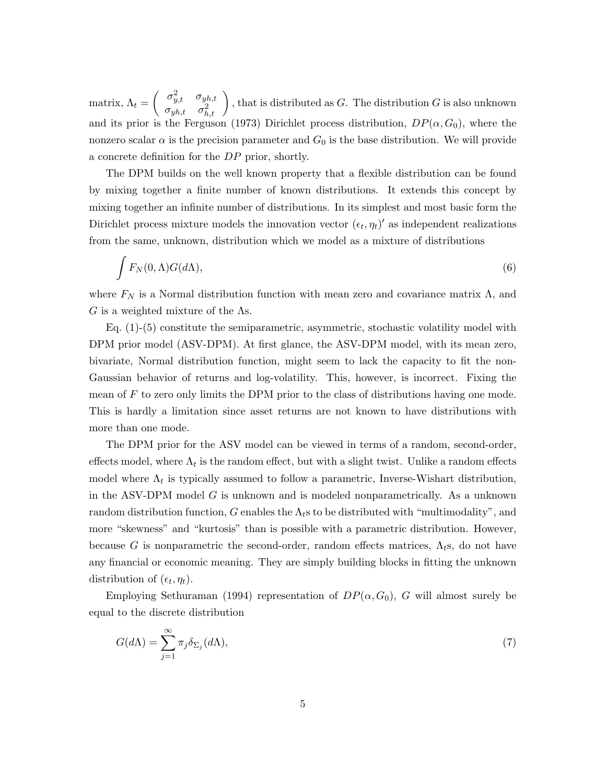matrix,  $\Lambda_t =$  $\int \sigma_{y,t}^2 \sigma_{y,h,t}$  $\begin{pmatrix} \sigma_{y,t}^2 & \sigma_{yh,t} \\ \sigma_{yh,t} & \sigma_{h,t}^2 \end{pmatrix}$ , that is distributed as  $G$ . The distribution  $G$  is also unknown and its prior is the Ferguson (1973) Dirichlet process distribution,  $DP(\alpha, G_0)$ , where the nonzero scalar  $\alpha$  is the precision parameter and  $G_0$  is the base distribution. We will provide a concrete definition for the DP prior, shortly.

The DPM builds on the well known property that a flexible distribution can be found by mixing together a finite number of known distributions. It extends this concept by mixing together an infinite number of distributions. In its simplest and most basic form the Dirichlet process mixture models the innovation vector  $(\epsilon_t, \eta_t)'$  as independent realizations from the same, unknown, distribution which we model as a mixture of distributions

$$
\int F_N(0,\Lambda)G(d\Lambda),\tag{6}
$$

where  $F_N$  is a Normal distribution function with mean zero and covariance matrix  $\Lambda$ , and  $G$  is a weighted mixture of the  $\Lambda$ s.

Eq. (1)-(5) constitute the semiparametric, asymmetric, stochastic volatility model with DPM prior model (ASV-DPM). At first glance, the ASV-DPM model, with its mean zero, bivariate, Normal distribution function, might seem to lack the capacity to fit the non-Gaussian behavior of returns and log-volatility. This, however, is incorrect. Fixing the mean of  $F$  to zero only limits the DPM prior to the class of distributions having one mode. This is hardly a limitation since asset returns are not known to have distributions with more than one mode.

The DPM prior for the ASV model can be viewed in terms of a random, second-order, effects model, where  $\Lambda_t$  is the random effect, but with a slight twist. Unlike a random effects model where  $\Lambda_t$  is typically assumed to follow a parametric, Inverse-Wishart distribution, in the ASV-DPM model G is unknown and is modeled nonparametrically. As a unknown random distribution function, G enables the  $\Lambda_t$ s to be distributed with "multimodality", and more "skewness" and "kurtosis" than is possible with a parametric distribution. However, because G is nonparametric the second-order, random effects matrices,  $\Lambda_t$ s, do not have any financial or economic meaning. They are simply building blocks in fitting the unknown distribution of  $(\epsilon_t, \eta_t)$ .

Employing Sethuraman (1994) representation of  $DP(\alpha, G_0)$ , G will almost surely be equal to the discrete distribution

$$
G(d\Lambda) = \sum_{j=1}^{\infty} \pi_j \delta_{\Sigma_j}(d\Lambda),\tag{7}
$$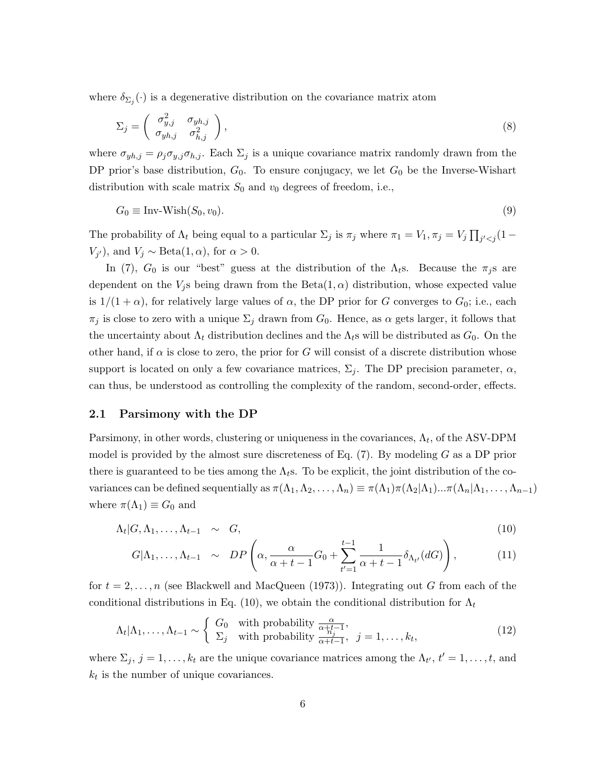where  $\delta_{\Sigma_j}(\cdot)$  is a degenerative distribution on the covariance matrix atom

$$
\Sigma_j = \begin{pmatrix} \sigma_{y,j}^2 & \sigma_{yh,j} \\ \sigma_{yh,j} & \sigma_{h,j}^2 \end{pmatrix},\tag{8}
$$

where  $\sigma_{yh,j} = \rho_j \sigma_{y,j} \sigma_{h,j}$ . Each  $\Sigma_j$  is a unique covariance matrix randomly drawn from the DP prior's base distribution,  $G_0$ . To ensure conjugacy, we let  $G_0$  be the Inverse-Wishart distribution with scale matrix  $S_0$  and  $v_0$  degrees of freedom, i.e.,

$$
G_0 \equiv \text{Inv-Wish}(S_0, v_0). \tag{9}
$$

The probability of  $\Lambda_t$  being equal to a particular  $\Sigma_j$  is  $\pi_j$  where  $\pi_1 = V_1, \pi_j = V_j \prod_{j' < j} (1 - \frac{1}{j'})$  $V_{j'}$ , and  $V_j \sim \text{Beta}(1, \alpha)$ , for  $\alpha > 0$ .

In (7),  $G_0$  is our "best" guess at the distribution of the  $\Lambda_t$ s. Because the  $\pi_j$ s are dependent on the  $V_j$ s being drawn from the Beta $(1, \alpha)$  distribution, whose expected value is  $1/(1+\alpha)$ , for relatively large values of  $\alpha$ , the DP prior for G converges to  $G_0$ ; i.e., each  $\pi_j$  is close to zero with a unique  $\Sigma_j$  drawn from  $G_0$ . Hence, as  $\alpha$  gets larger, it follows that the uncertainty about  $\Lambda_t$  distribution declines and the  $\Lambda_t$ s will be distributed as  $G_0$ . On the other hand, if  $\alpha$  is close to zero, the prior for G will consist of a discrete distribution whose support is located on only a few covariance matrices,  $\Sigma_i$ . The DP precision parameter,  $\alpha$ , can thus, be understood as controlling the complexity of the random, second-order, effects.

### 2.1 Parsimony with the DP

Parsimony, in other words, clustering or uniqueness in the covariances,  $\Lambda_t$ , of the ASV-DPM model is provided by the almost sure discreteness of Eq.  $(7)$ . By modeling G as a DP prior there is guaranteed to be ties among the  $\Lambda_t$ s. To be explicit, the joint distribution of the covariances can be defined sequentially as  $\pi(\Lambda_1, \Lambda_2, \ldots, \Lambda_n) \equiv \pi(\Lambda_1)\pi(\Lambda_2|\Lambda_1)\ldots \pi(\Lambda_n|\Lambda_1, \ldots, \Lambda_{n-1})$ where  $\pi(\Lambda_1) \equiv G_0$  and

$$
\Lambda_t | G, \Lambda_1, \dots, \Lambda_{t-1} \sim G,
$$
\n
$$
(10)
$$

$$
G|\Lambda_1,\ldots,\Lambda_{t-1} \sim DP\left(\alpha,\frac{\alpha}{\alpha+t-1}G_0+\sum_{t'=1}^{t-1}\frac{1}{\alpha+t-1}\delta_{\Lambda_{t'}}(dG)\right),\tag{11}
$$

for  $t = 2, \ldots, n$  (see Blackwell and MacQueen (1973)). Integrating out G from each of the conditional distributions in Eq. (10), we obtain the conditional distribution for  $\Lambda_t$ 

$$
\Lambda_t | \Lambda_1, \dots, \Lambda_{t-1} \sim \begin{cases} G_0 & \text{with probability } \frac{\alpha}{\alpha + t - 1}, \\ \Sigma_j & \text{with probability } \frac{n_j}{\alpha + t - 1}, \quad j = 1, \dots, k_t, \end{cases} \tag{12}
$$

where  $\Sigma_j$ ,  $j = 1, \ldots, k_t$  are the unique covariance matrices among the  $\Lambda_{t'}$ ,  $t' = 1, \ldots, t$ , and  $k_t$  is the number of unique covariances.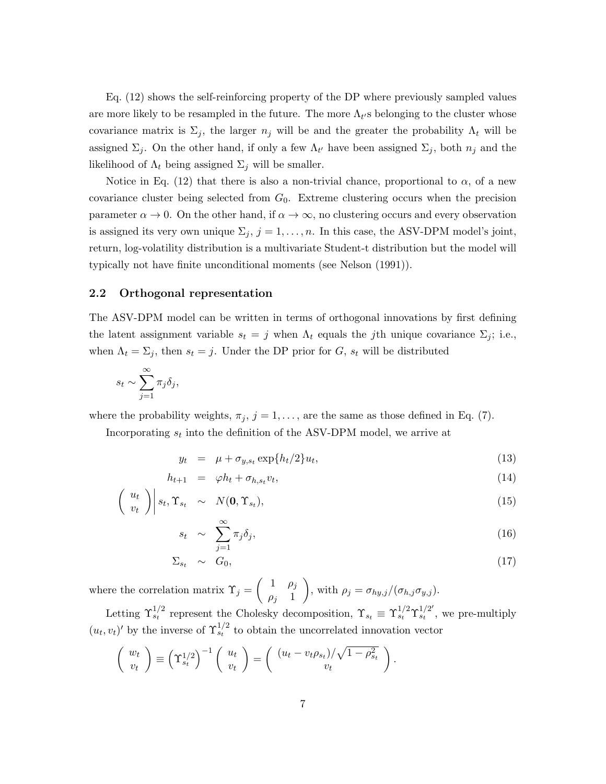Eq. (12) shows the self-reinforcing property of the DP where previously sampled values are more likely to be resampled in the future. The more  $\Lambda_{t'}$ s belonging to the cluster whose covariance matrix is  $\Sigma_j$ , the larger  $n_j$  will be and the greater the probability  $\Lambda_t$  will be assigned  $\Sigma_j$ . On the other hand, if only a few  $\Lambda_{t'}$  have been assigned  $\Sigma_j$ , both  $n_j$  and the likelihood of  $\Lambda_t$  being assigned  $\Sigma_i$  will be smaller.

Notice in Eq. (12) that there is also a non-trivial chance, proportional to  $\alpha$ , of a new covariance cluster being selected from  $G_0$ . Extreme clustering occurs when the precision parameter  $\alpha \to 0$ . On the other hand, if  $\alpha \to \infty$ , no clustering occurs and every observation is assigned its very own unique  $\Sigma_j$ ,  $j = 1, ..., n$ . In this case, the ASV-DPM model's joint, return, log-volatility distribution is a multivariate Student-t distribution but the model will typically not have finite unconditional moments (see Nelson (1991)).

### 2.2 Orthogonal representation

The ASV-DPM model can be written in terms of orthogonal innovations by first defining the latent assignment variable  $s_t = j$  when  $\Lambda_t$  equals the jth unique covariance  $\Sigma_j$ ; i.e., when  $\Lambda_t = \Sigma_j$ , then  $s_t = j$ . Under the DP prior for G,  $s_t$  will be distributed

$$
s_t \sim \sum_{j=1}^{\infty} \pi_j \delta_j,
$$

where the probability weights,  $\pi_j$ ,  $j = 1, \ldots$ , are the same as those defined in Eq. (7).

Incorporating  $s_t$  into the definition of the ASV-DPM model, we arrive at

$$
y_t = \mu + \sigma_{y, s_t} \exp\{h_t/2\} u_t,\tag{13}
$$

$$
h_{t+1} = \varphi h_t + \sigma_{h,s_t} v_t, \tag{14}
$$

$$
\left(\begin{array}{c} u_t \\ v_t \end{array}\right) \middle| s_t, \Upsilon_{s_t} \sim N(\mathbf{0}, \Upsilon_{s_t}), \tag{15}
$$

$$
s_t \sim \sum_{j=1}^{\infty} \pi_j \delta_j,\tag{16}
$$

$$
\Sigma_{s_t} \sim G_0,\tag{17}
$$

where the correlation matrix  $\Upsilon_j =$  $\begin{pmatrix} 1 & \rho_j \end{pmatrix}$  $\rho_j$  1  $\setminus$ , with  $\rho_j = \sigma_{hy,j}/(\sigma_{h,j}\sigma_{y,j}).$ 

Letting  $\Upsilon_{st}^{1/2}$  represent the Cholesky decomposition,  $\Upsilon_{st} \equiv \Upsilon_{st}^{1/2} \Upsilon_{st}^{1/2'}$  $s_t^{1/2}$ , we pre-multiply  $(u_t, v_t)'$  by the inverse of  $\Upsilon_{s_t}^{1/2}$  to obtain the uncorrelated innovation vector

$$
\begin{pmatrix} w_t \\ v_t \end{pmatrix} \equiv \left(\Upsilon_{s_t}^{1/2}\right)^{-1} \begin{pmatrix} u_t \\ v_t \end{pmatrix} = \begin{pmatrix} (u_t - v_t \rho_{s_t})/\sqrt{1 - \rho_{s_t}^2} \\ v_t \end{pmatrix}.
$$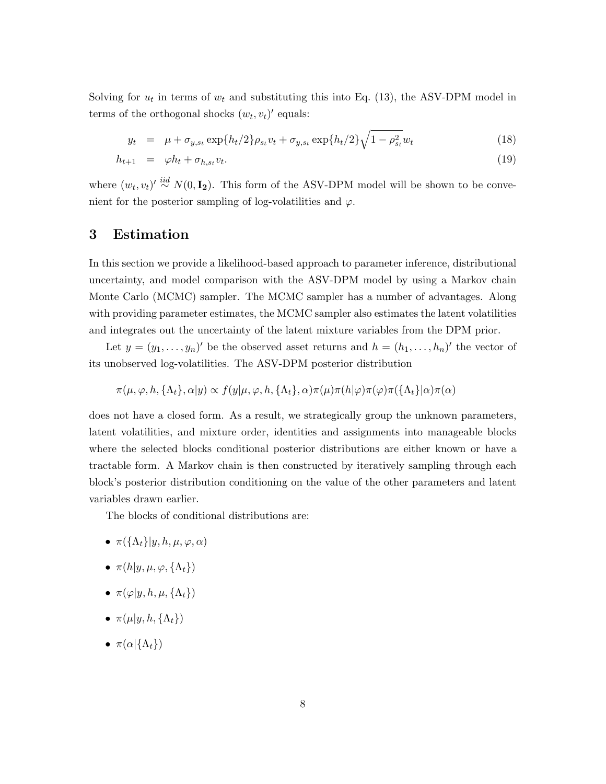Solving for  $u_t$  in terms of  $w_t$  and substituting this into Eq. (13), the ASV-DPM model in terms of the orthogonal shocks  $(w_t, v_t)'$  equals:

$$
y_t = \mu + \sigma_{y,s_t} \exp\{h_t/2\} \rho_{s_t} v_t + \sigma_{y,s_t} \exp\{h_t/2\} \sqrt{1 - \rho_{s_t}^2} w_t \tag{18}
$$

$$
h_{t+1} = \varphi h_t + \sigma_{h, st} v_t. \tag{19}
$$

where  $(w_t, v_t)' \stackrel{iid}{\sim} N(0, I_2)$ . This form of the ASV-DPM model will be shown to be convenient for the posterior sampling of log-volatilities and  $\varphi$ .

# 3 Estimation

In this section we provide a likelihood-based approach to parameter inference, distributional uncertainty, and model comparison with the ASV-DPM model by using a Markov chain Monte Carlo (MCMC) sampler. The MCMC sampler has a number of advantages. Along with providing parameter estimates, the MCMC sampler also estimates the latent volatilities and integrates out the uncertainty of the latent mixture variables from the DPM prior.

Let  $y = (y_1, \ldots, y_n)'$  be the observed asset returns and  $h = (h_1, \ldots, h_n)'$  the vector of its unobserved log-volatilities. The ASV-DPM posterior distribution

$$
\pi(\mu, \varphi, h, \{\Lambda_t\}, \alpha|y) \propto f(y|\mu, \varphi, h, \{\Lambda_t\}, \alpha) \pi(\mu) \pi(h|\varphi) \pi(\varphi) \pi(\{\Lambda_t\}|\alpha) \pi(\alpha)
$$

does not have a closed form. As a result, we strategically group the unknown parameters, latent volatilities, and mixture order, identities and assignments into manageable blocks where the selected blocks conditional posterior distributions are either known or have a tractable form. A Markov chain is then constructed by iteratively sampling through each block's posterior distribution conditioning on the value of the other parameters and latent variables drawn earlier.

The blocks of conditional distributions are:

- $\bullet \pi({\{\Lambda_t\}}|y, h, \mu, \varphi, \alpha)$
- $\pi(h|y,\mu,\varphi,\{\Lambda_t\})$
- $\bullet \ \pi(\varphi | y, h, \mu, \{\Lambda_t\})$
- $\pi(\mu|y, h, {\Lambda_t})$
- $\pi(\alpha|\{\Lambda_t\})$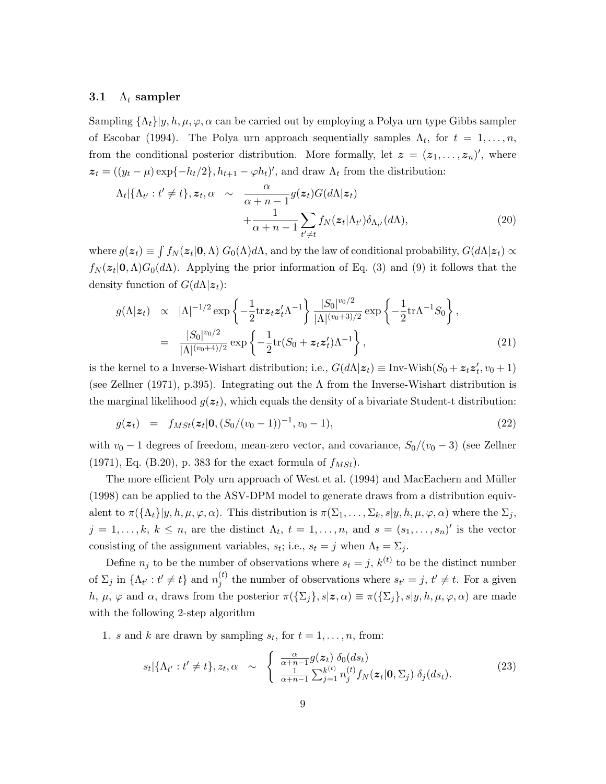### 3.1  $\Lambda_t$  sampler

Sampling  $\{\Lambda_t\}|y, h, \mu, \varphi, \alpha$  can be carried out by employing a Polya urn type Gibbs sampler of Escobar (1994). The Polya urn approach sequentially samples  $\Lambda_t$ , for  $t = 1, \ldots, n$ , from the conditional posterior distribution. More formally, let  $z = (z_1, \ldots, z_n)'$ , where  $z_t = ((y_t - \mu) \exp{-h_t/2}, h_{t+1} - \varphi h_t)'$ , and draw  $\Lambda_t$  from the distribution:

$$
\Lambda_t | \{ \Lambda_{t'} : t' \neq t \}, \mathbf{z}_t, \alpha \sim \frac{\alpha}{\alpha + n - 1} g(\mathbf{z}_t) G(d\Lambda | \mathbf{z}_t) + \frac{1}{\alpha + n - 1} \sum_{t' \neq t} f_N(\mathbf{z}_t | \Lambda_{t'}) \delta_{\Lambda_{t'}}(d\Lambda), \tag{20}
$$

where  $g(z_t) \equiv \int f_N(z_t | \mathbf{0}, \Lambda) G_0(\Lambda) d\Lambda$ , and by the law of conditional probability,  $G(d\Lambda | z_t) \propto$  $f_N(z_t|0, \Lambda)G_0(d\Lambda)$ . Applying the prior information of Eq. (3) and (9) it follows that the density function of  $G(d\Lambda|z_t)$ :

$$
g(\Lambda|\mathbf{z}_t) \propto |\Lambda|^{-1/2} \exp\left\{-\frac{1}{2} \text{tr} \mathbf{z}_t \mathbf{z}_t' \Lambda^{-1}\right\} \frac{|S_0|^{\nu_0/2}}{|\Lambda|^{(\nu_0+3)/2}} \exp\left\{-\frac{1}{2} \text{tr} \Lambda^{-1} S_0\right\},
$$
  

$$
= \frac{|S_0|^{\nu_0/2}}{|\Lambda|^{(\nu_0+4)/2}} \exp\left\{-\frac{1}{2} \text{tr}(S_0 + \mathbf{z}_t \mathbf{z}_t') \Lambda^{-1}\right\},
$$
 (21)

is the kernel to a Inverse-Wishart distribution; i.e.,  $G(d\Lambda|z_t) \equiv \text{Inv-Wish}(S_0 + z_t z'_t, v_0 + 1)$ (see Zellner (1971), p.395). Integrating out the  $\Lambda$  from the Inverse-Wishart distribution is the marginal likelihood  $g(z_t)$ , which equals the density of a bivariate Student-t distribution:

$$
g(z_t) = f_{MSt}(z_t | 0, (S_0/(v_0 - 1))^{-1}, v_0 - 1),
$$
\n(22)

with  $v_0 - 1$  degrees of freedom, mean-zero vector, and covariance,  $S_0/(v_0 - 3)$  (see Zellner (1971), Eq. (B.20), p. 383 for the exact formula of  $f_{MSt}$ ).

The more efficient Poly urn approach of West et al. (1994) and MacEachern and Müller (1998) can be applied to the ASV-DPM model to generate draws from a distribution equivalent to  $\pi({\{\Lambda_t\}}|y, h, \mu, \varphi, \alpha)$ . This distribution is  $\pi(\Sigma_1, \ldots, \Sigma_k, s|y, h, \mu, \varphi, \alpha)$  where the  $\Sigma_j$ ,  $j = 1, \ldots, k, k \leq n$ , are the distinct  $\Lambda_t$ ,  $t = 1, \ldots, n$ , and  $s = (s_1, \ldots, s_n)'$  is the vector consisting of the assignment variables,  $s_t$ ; i.e.,  $s_t = j$  when  $\Lambda_t = \Sigma_j$ .

Define  $n_j$  to be the number of observations where  $s_t = j$ ,  $k^{(t)}$  to be the distinct number of  $\Sigma_j$  in  $\{\Lambda_{t'} : t' \neq t\}$  and  $n_j^{(t)}$  $j^{(t)}$  the number of observations where  $s_{t'} = j, t' \neq t$ . For a given h,  $\mu$ ,  $\varphi$  and  $\alpha$ , draws from the posterior  $\pi({\{\Sigma_i\}}, s|z, \alpha) \equiv \pi({\{\Sigma_i\}}, s|y, h, \mu, \varphi, \alpha)$  are made with the following 2-step algorithm

1. s and k are drawn by sampling  $s_t$ , for  $t = 1, \ldots, n$ , from:

$$
s_t | \{\Lambda_{t'} : t' \neq t\}, z_t, \alpha \sim \begin{cases} \frac{\alpha}{\alpha + n - 1} g(z_t) \, \delta_0(ds_t) \\ \frac{1}{\alpha + n - 1} \sum_{j=1}^{k^{(t)}} n_j^{(t)} f_N(z_t | \mathbf{0}, \Sigma_j) \, \delta_j(ds_t). \end{cases} \tag{23}
$$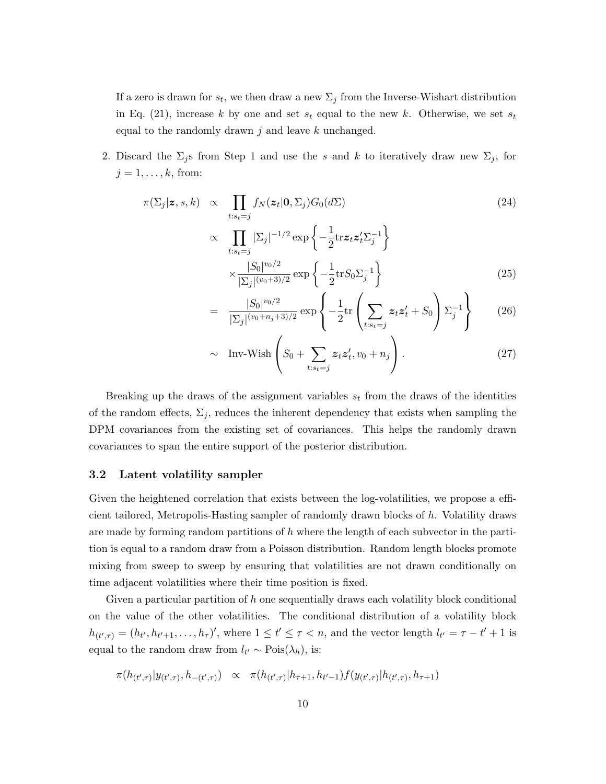If a zero is drawn for  $s_t$ , we then draw a new  $\Sigma_j$  from the Inverse-Wishart distribution in Eq. (21), increase k by one and set  $s_t$  equal to the new k. Otherwise, we set  $s_t$ equal to the randomly drawn  $j$  and leave  $k$  unchanged.

2. Discard the  $\Sigma_j$ s from Step 1 and use the s and k to iteratively draw new  $\Sigma_j$ , for  $j = 1, \ldots, k$ , from:

$$
\pi(\Sigma_j | \mathbf{z}, s, k) \propto \prod_{t:s_t=j} f_N(\mathbf{z}_t | \mathbf{0}, \Sigma_j) G_0(d\Sigma)
$$
\n
$$
\propto \prod_{t:s_t=j} |\Sigma_j|^{-1/2} \exp\left\{-\frac{1}{2} \text{tr} \mathbf{z}_t \mathbf{z}_t' \Sigma_j^{-1}\right\}
$$
\n
$$
\times \frac{|S_0|^{v_0/2}}{|\Sigma_j|^{(v_0+3)/2}} \exp\left\{-\frac{1}{2} \text{tr} S_0 \Sigma_j^{-1}\right\}
$$
\n(25)

$$
= \frac{|S_0|^{v_0/2}}{|\Sigma_j|^{(v_0+n_j+3)/2}} \exp\left\{-\frac{1}{2}\text{tr}\left(\sum_{t:s_t=j} z_t z'_t + S_0\right)\Sigma_j^{-1}\right\} \qquad (26)
$$

$$
\sim \text{Inv-Wish}\left(S_0 + \sum_{t:s_t=j} z_t z'_t, v_0 + n_j\right). \tag{27}
$$

Breaking up the draws of the assignment variables  $s_t$  from the draws of the identities of the random effects,  $\Sigma_j$ , reduces the inherent dependency that exists when sampling the DPM covariances from the existing set of covariances. This helps the randomly drawn covariances to span the entire support of the posterior distribution.

#### 3.2 Latent volatility sampler

Given the heightened correlation that exists between the log-volatilities, we propose a efficient tailored, Metropolis-Hasting sampler of randomly drawn blocks of h. Volatility draws are made by forming random partitions of h where the length of each subvector in the partition is equal to a random draw from a Poisson distribution. Random length blocks promote mixing from sweep to sweep by ensuring that volatilities are not drawn conditionally on time adjacent volatilities where their time position is fixed.

Given a particular partition of  $h$  one sequentially draws each volatility block conditional on the value of the other volatilities. The conditional distribution of a volatility block  $h_{(t',\tau)} = (h_{t'}, h_{t'+1}, \ldots, h_{\tau})'$ , where  $1 \leq t' \leq \tau < n$ , and the vector length  $l_{t'} = \tau - t' + 1$  is equal to the random draw from  $l_{t'} \sim \text{Pois}(\lambda_h)$ , is:

$$
\pi(h_{(t',\tau)}|y_{(t',\tau)},h_{-(t',\tau)}) \propto \pi(h_{(t',\tau)}|h_{\tau+1},h_{t'-1})f(y_{(t',\tau)}|h_{(t',\tau)},h_{\tau+1})
$$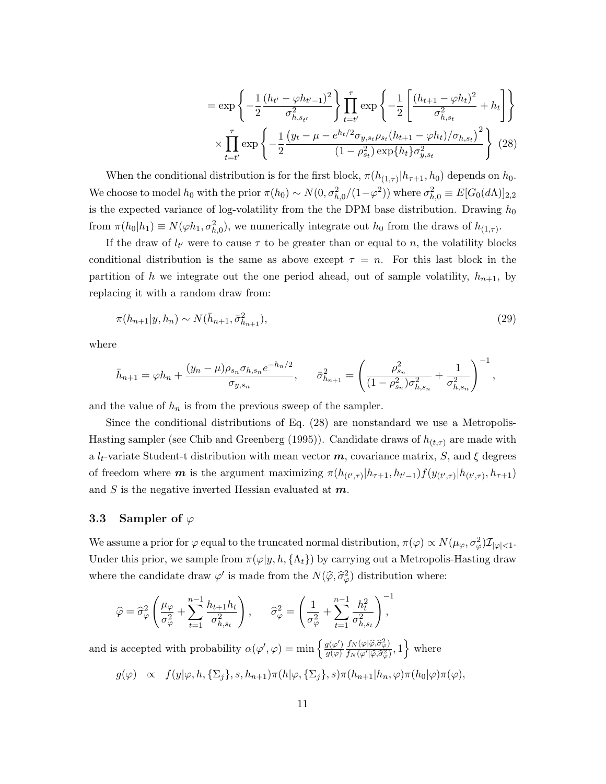$$
= \exp\left\{-\frac{1}{2}\frac{(h_{t'} - \varphi h_{t'-1})^2}{\sigma_{h,s_{t'}}^2}\right\} \prod_{t=t'}^{\tau} \exp\left\{-\frac{1}{2}\left[\frac{(h_{t+1} - \varphi h_t)^2}{\sigma_{h,s_t}^2} + h_t\right]\right\}
$$

$$
\times \prod_{t=t'}^{\tau} \exp\left\{-\frac{1}{2}\frac{\left(y_t - \mu - e^{h_t/2}\sigma_{y,s_t}\rho_{s_t}(h_{t+1} - \varphi h_t)/\sigma_{h,s_t}\right)^2}{(1 - \rho_{s_t}^2)\exp\{h_t\}\sigma_{y,s_t}^2}\right\} (28)
$$

,

When the conditional distribution is for the first block,  $\pi(h_{(1,\tau)}|h_{\tau+1}, h_0)$  depends on  $h_0$ . We choose to model  $h_0$  with the prior  $\pi(h_0) \sim N(0, \sigma_{h,0}^2/(1-\varphi^2))$  where  $\sigma_{h,0}^2 \equiv E[G_0(d\Lambda)]_{2,2}$ is the expected variance of log-volatility from the the DPM base distribution. Drawing  $h_0$ from  $\pi(h_0|h_1) \equiv N(\varphi h_1, \sigma_{h,0}^2)$ , we numerically integrate out  $h_0$  from the draws of  $h_{(1,\tau)}$ .

If the draw of  $l_{t'}$  were to cause  $\tau$  to be greater than or equal to n, the volatility blocks conditional distribution is the same as above except  $\tau = n$ . For this last block in the partition of h we integrate out the one period ahead, out of sample volatility,  $h_{n+1}$ , by replacing it with a random draw from:

$$
\pi(h_{n+1}|y, h_n) \sim N(\bar{h}_{n+1}, \bar{\sigma}_{h_{n+1}}^2),\tag{29}
$$

where

$$
\bar{h}_{n+1} = \varphi h_n + \frac{(y_n - \mu)\rho_{s_n}\sigma_{h,s_n}e^{-h_n/2}}{\sigma_{y,s_n}}, \qquad \bar{\sigma}_{h_{n+1}}^2 = \left(\frac{\rho_{s_n}^2}{(1 - \rho_{s_n}^2)\sigma_{h,s_n}^2} + \frac{1}{\sigma_{h,s_n}^2}\right)^{-1}
$$

and the value of  $h_n$  is from the previous sweep of the sampler.

Since the conditional distributions of Eq. (28) are nonstandard we use a Metropolis-Hasting sampler (see Chib and Greenberg (1995)). Candidate draws of  $h_{(t,\tau)}$  are made with a  $l_t$ -variate Student-t distribution with mean vector  $m$ , covariance matrix, S, and  $\xi$  degrees of freedom where **m** is the argument maximizing  $\pi(h_{(t',\tau)}|h_{\tau+1}, h_{t'-1})f(y_{(t',\tau)}|h_{(t',\tau)}, h_{\tau+1})$ and  $S$  is the negative inverted Hessian evaluated at  $m$ .

### 3.3 Sampler of  $\varphi$

We assume a prior for  $\varphi$  equal to the truncated normal distribution,  $\pi(\varphi) \propto N(\mu_{\varphi}, \sigma_{\varphi}^2) \mathcal{I}_{|\varphi|<1}$ . Under this prior, we sample from  $\pi(\varphi|y, h, \{\Lambda_t\})$  by carrying out a Metropolis-Hasting draw where the candidate draw  $\varphi'$  is made from the  $N(\hat{\varphi}, \hat{\sigma}_{\varphi}^2)$  distribution where:

$$
\widehat{\varphi} = \widehat{\sigma}_{\varphi}^2 \left( \frac{\mu_{\varphi}}{\sigma_{\varphi}^2} + \sum_{t=1}^{n-1} \frac{h_{t+1} h_t}{\sigma_{h,s_t}^2} \right), \qquad \widehat{\sigma}_{\varphi}^2 = \left( \frac{1}{\sigma_{\varphi}^2} + \sum_{t=1}^{n-1} \frac{h_t^2}{\sigma_{h,s_t}^2} \right)^{-1},
$$

and is accepted with probability  $\alpha(\varphi', \varphi) = \min \left\{ \frac{g(\varphi')}{g(\varphi)} \right\}$  $g(\varphi)$  $f_N(\varphi|\widehat\varphi,\widehat\sigma_\varphi^2)$  $\frac{f_N(\varphi|\widehat{\varphi},\widehat{\sigma}_{\varphi}^2)}{f_N(\varphi'|\widehat{\varphi},\widehat{\sigma}_{\varphi}^2)},1$  where

$$
g(\varphi) \propto f(y|\varphi, h, \{\Sigma_j\}, s, h_{n+1})\pi(h|\varphi, \{\Sigma_j\}, s)\pi(h_{n+1}|h_n, \varphi)\pi(h_0|\varphi)\pi(\varphi),
$$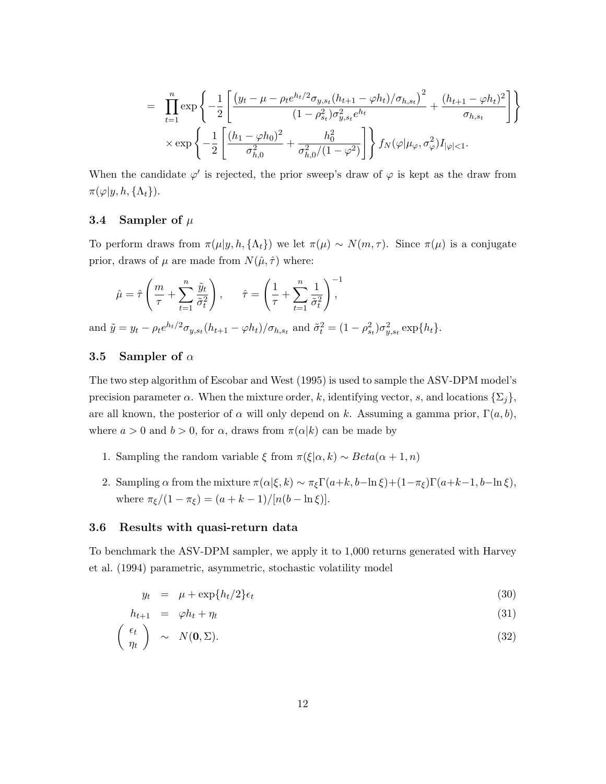$$
= \prod_{t=1}^{n} \exp \left\{ -\frac{1}{2} \left[ \frac{(y_t - \mu - \rho_t e^{h_t/2} \sigma_{y,s_t} (h_{t+1} - \varphi h_t) / \sigma_{h,s_t})^2}{(1 - \rho_{s_t}^2) \sigma_{y,s_t}^2 e^{h_t}} + \frac{(h_{t+1} - \varphi h_t)^2}{\sigma_{h,s_t}} \right] \right\}
$$

$$
\times \exp \left\{ -\frac{1}{2} \left[ \frac{(h_1 - \varphi h_0)^2}{\sigma_{h,0}^2} + \frac{h_0^2}{\sigma_{h,0}^2/(1 - \varphi^2)} \right] \right\} f_N(\varphi | \mu_\varphi, \sigma_\varphi^2) I_{|\varphi| < 1}.
$$

When the candidate  $\varphi'$  is rejected, the prior sweep's draw of  $\varphi$  is kept as the draw from  $\pi(\varphi|y, h, {\{\Lambda_t\}}).$ 

### 3.4 Sampler of  $\mu$

To perform draws from  $\pi(\mu|y, h, {\{\Lambda_t\}})$  we let  $\pi(\mu) \sim N(m, \tau)$ . Since  $\pi(\mu)$  is a conjugate prior, draws of  $\mu$  are made from  $N(\hat{\mu}, \hat{\tau})$  where:

$$
\hat{\mu} = \hat{\tau} \left( \frac{m}{\tau} + \sum_{t=1}^n \frac{\tilde{y}_t}{\tilde{\sigma}_t^2} \right), \qquad \hat{\tau} = \left( \frac{1}{\tau} + \sum_{t=1}^n \frac{1}{\tilde{\sigma}_t^2} \right)^{-1},
$$
  
and  $\tilde{y} = y_t - \rho_t e^{h_t/2} \sigma_{y, s_t} (h_{t+1} - \varphi h_t) / \sigma_{h, s_t}$  and  $\tilde{\sigma}_t^2 = (1 - \rho_{st}^2) \sigma_{y, s_t}^2 \exp\{h_t\}.$ 

### 3.5 Sampler of  $\alpha$

The two step algorithm of Escobar and West (1995) is used to sample the ASV-DPM model's precision parameter  $\alpha$ . When the mixture order, k, identifying vector, s, and locations  $\{\Sigma_i\},$ are all known, the posterior of  $\alpha$  will only depend on k. Assuming a gamma prior,  $\Gamma(a, b)$ , where  $a > 0$  and  $b > 0$ , for  $\alpha$ , draws from  $\pi(\alpha|k)$  can be made by

- 1. Sampling the random variable  $\xi$  from  $\pi(\xi|\alpha, k) \sim Beta(\alpha + 1, n)$
- 2. Sampling  $\alpha$  from the mixture  $\pi(\alpha|\xi, k) \sim \pi_{\xi} \Gamma(a+k, b-\ln \xi) + (1-\pi_{\xi})\Gamma(a+k-1, b-\ln \xi)$ , where  $\pi_{\xi}/(1 - \pi_{\xi}) = (a + k - 1)/[n(b - \ln \xi)].$

### 3.6 Results with quasi-return data

To benchmark the ASV-DPM sampler, we apply it to 1,000 returns generated with Harvey et al. (1994) parametric, asymmetric, stochastic volatility model

$$
y_t = \mu + \exp\{h_t/2\}\epsilon_t \tag{30}
$$

$$
h_{t+1} = \varphi h_t + \eta_t \tag{31}
$$

$$
\left(\begin{array}{c}\epsilon_t\\\eta_t\end{array}\right) \sim N(\mathbf{0}, \Sigma). \tag{32}
$$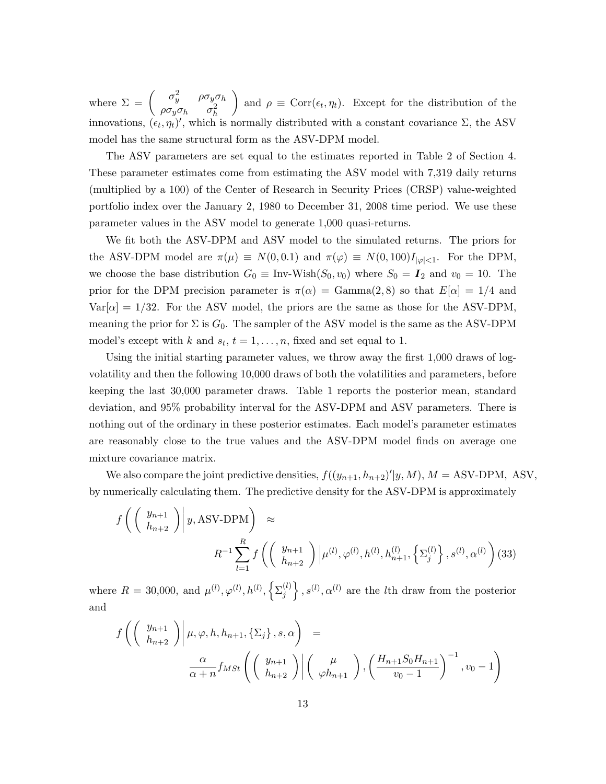where  $\Sigma = \begin{pmatrix} \sigma_y^2 & \rho \sigma_y \sigma_h \\ \sigma_z^2 & -\rho_z^2 \end{pmatrix}$  $\rho \sigma_y \sigma_h \qquad \sigma_h^2$  $\setminus$ and  $\rho \equiv \text{Corr}(\epsilon_t, \eta_t)$ . Except for the distribution of the innovations,  $(\epsilon_t, \eta_t)'$ , which is normally distributed with a constant covariance  $\Sigma$ , the ASV model has the same structural form as the ASV-DPM model.

The ASV parameters are set equal to the estimates reported in Table 2 of Section 4. These parameter estimates come from estimating the ASV model with 7,319 daily returns (multiplied by a 100) of the Center of Research in Security Prices (CRSP) value-weighted portfolio index over the January 2, 1980 to December 31, 2008 time period. We use these parameter values in the ASV model to generate 1,000 quasi-returns.

We fit both the ASV-DPM and ASV model to the simulated returns. The priors for the ASV-DPM model are  $\pi(\mu) \equiv N(0, 0.1)$  and  $\pi(\varphi) \equiv N(0, 100)I_{|\varphi|<1}$ . For the DPM, we choose the base distribution  $G_0 \equiv \text{Inv-Wish}(S_0, v_0)$  where  $S_0 = I_2$  and  $v_0 = 10$ . The prior for the DPM precision parameter is  $\pi(\alpha) = \text{Gamma}(2,8)$  so that  $E[\alpha] = 1/4$  and  $Var[\alpha] = 1/32$ . For the ASV model, the priors are the same as those for the ASV-DPM, meaning the prior for  $\Sigma$  is  $G_0$ . The sampler of the ASV model is the same as the ASV-DPM model's except with k and  $s_t$ ,  $t = 1, \ldots, n$ , fixed and set equal to 1.

Using the initial starting parameter values, we throw away the first 1,000 draws of logvolatility and then the following 10,000 draws of both the volatilities and parameters, before keeping the last 30,000 parameter draws. Table 1 reports the posterior mean, standard deviation, and 95% probability interval for the ASV-DPM and ASV parameters. There is nothing out of the ordinary in these posterior estimates. Each model's parameter estimates are reasonably close to the true values and the ASV-DPM model finds on average one mixture covariance matrix.

We also compare the joint predictive densities,  $f((y_{n+1}, h_{n+2})'|y, M)$ ,  $M = \text{ASV-DPM}$ , ASV, by numerically calculating them. The predictive density for the ASV-DPM is approximately

$$
f\left(\begin{pmatrix} y_{n+1} \\ h_{n+2} \end{pmatrix} \middle| y, \text{ASV-DPM} \right) \approx
$$
  

$$
R^{-1} \sum_{l=1}^{R} f\left(\begin{pmatrix} y_{n+1} \\ h_{n+2} \end{pmatrix} \middle| \mu^{(l)}, \varphi^{(l)}, h^{(l)}, h_{n+1}^{(l)}, \left\{ \Sigma_{j}^{(l)} \right\}, s^{(l)}, \alpha^{(l)} \right)
$$
(33)

where  $R = 30,000$ , and  $\mu^{(l)}, \varphi^{(l)}, h^{(l)}, \{\Sigma_i^{(l)}\}$ j  $\Big\}$ ,  $s^{(l)}$ ,  $\alpha^{(l)}$  are the *l*th draw from the posterior and

$$
f\left(\begin{pmatrix} y_{n+1} \\ h_{n+2} \end{pmatrix} \middle| \mu, \varphi, h, h_{n+1}, \{\Sigma_j\}, s, \alpha\right) =
$$
  

$$
\frac{\alpha}{\alpha + n} f_{MSt}\left(\begin{pmatrix} y_{n+1} \\ h_{n+2} \end{pmatrix} \middle| \begin{pmatrix} \mu \\ \varphi h_{n+1} \end{pmatrix}, \begin{pmatrix} \frac{H_{n+1} S_0 H_{n+1}}{v_0 - 1} \end{pmatrix}^{-1}, v_0 - 1\right)
$$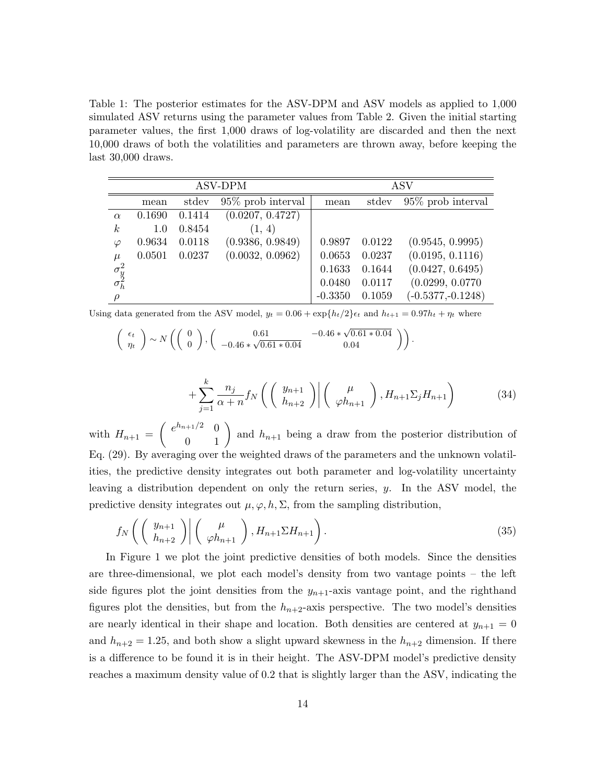Table 1: The posterior estimates for the ASV-DPM and ASV models as applied to 1,000 simulated ASV returns using the parameter values from Table 2. Given the initial starting parameter values, the first 1,000 draws of log-volatility are discarded and then the next 10,000 draws of both the volatilities and parameters are thrown away, before keeping the last 30,000 draws.

|                               | <b>ASV-DPM</b> |        |                      |           | <b>ASV</b> |                      |  |
|-------------------------------|----------------|--------|----------------------|-----------|------------|----------------------|--|
|                               | mean           | stdev  | $95\%$ prob interval | mean      | stdev      | $95\%$ prob interval |  |
| $\alpha$                      | 0.1690         | 0.1414 | (0.0207, 0.4727)     |           |            |                      |  |
| $\boldsymbol{k}$              | 1.0            | 0.8454 | (1, 4)               |           |            |                      |  |
| $\varphi$                     | 0.9634         | 0.0118 | (0.9386, 0.9849)     | 0.9897    | 0.0122     | (0.9545, 0.9995)     |  |
| $\mu$                         | 0.0501         | 0.0237 | (0.0032, 0.0962)     | 0.0653    | 0.0237     | (0.0195, 0.1116)     |  |
| $\sigma_y^2 \over \sigma_h^2$ |                |        |                      | 0.1633    | 0.1644     | (0.0427, 0.6495)     |  |
|                               |                |        |                      | 0.0480    | 0.0117     | (0.0299, 0.0770)     |  |
| $\rho$                        |                |        |                      | $-0.3350$ | 0.1059     | $(-0.5377,-0.1248)$  |  |

Using data generated from the ASV model,  $y_t = 0.06 + \exp\{h_t/2\} \epsilon_t$  and  $h_{t+1} = 0.97h_t + \eta_t$  where

$$
\left(\begin{array}{c}\epsilon_t\\ \eta_t\end{array}\right)\sim N\left(\left(\begin{array}{c}0\\0\end{array}\right),\left(\begin{array}{cc}0.61&-0.46*\sqrt{0.61*0.04}\\-0.46*\sqrt{0.61*0.04}&0.04\end{array}\right)\right).
$$

$$
+\sum_{j=1}^{k} \frac{n_j}{\alpha+n} f_N\left(\left(\begin{array}{c} y_{n+1} \\ h_{n+2} \end{array}\right) \middle| \left(\begin{array}{c} \mu \\ \varphi h_{n+1} \end{array}\right), H_{n+1} \Sigma_j H_{n+1}\right) \tag{34}
$$

with  $H_{n+1} =$  $\begin{pmatrix} e^{h_{n+1}/2} & 0 \\ 0 & 1 \end{pmatrix}$  and  $h_{n+1}$  being a draw from the posterior distribution of Eq. (29). By averaging over the weighted draws of the parameters and the unknown volatilities, the predictive density integrates out both parameter and log-volatility uncertainty leaving a distribution dependent on only the return series,  $y$ . In the ASV model, the predictive density integrates out  $\mu$ ,  $\varphi$ ,  $h$ ,  $\Sigma$ , from the sampling distribution,

$$
f_N\left(\left(\begin{array}{c}y_{n+1} \\ h_{n+2}\end{array}\right)\middle|\left(\begin{array}{c}\mu \\ \varphi h_{n+1}\end{array}\right), H_{n+1}\Sigma H_{n+1}\right).
$$
\n(35)

In Figure 1 we plot the joint predictive densities of both models. Since the densities are three-dimensional, we plot each model's density from two vantage points – the left side figures plot the joint densities from the  $y_{n+1}$ -axis vantage point, and the righthand figures plot the densities, but from the  $h_{n+2}$ -axis perspective. The two model's densities are nearly identical in their shape and location. Both densities are centered at  $y_{n+1} = 0$ and  $h_{n+2} = 1.25$ , and both show a slight upward skewness in the  $h_{n+2}$  dimension. If there is a difference to be found it is in their height. The ASV-DPM model's predictive density reaches a maximum density value of 0.2 that is slightly larger than the ASV, indicating the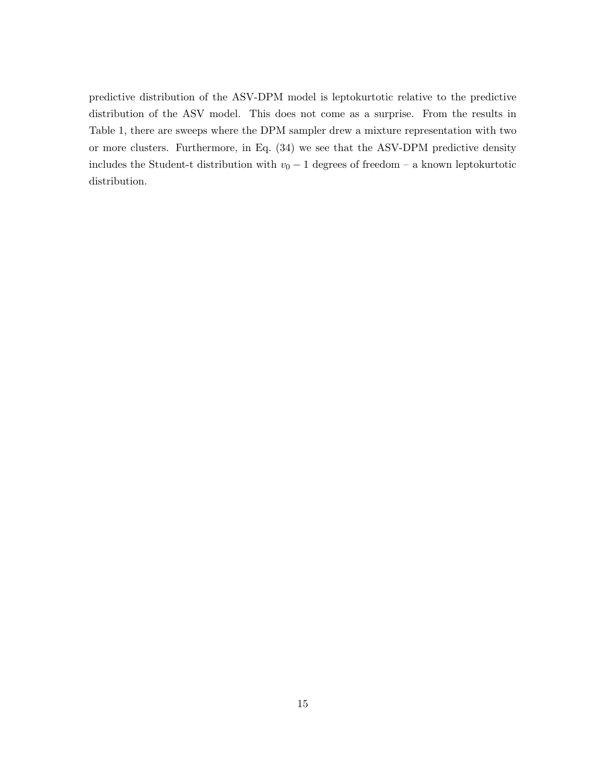predictive distribution of the ASV-DPM model is leptokurtotic relative to the predictive distribution of the ASV model. This does not come as a surprise. From the results in Table 1, there are sweeps where the DPM sampler drew a mixture representation with two or more clusters. Furthermore, in Eq. (34) we see that the ASV-DPM predictive density includes the Student-t distribution with  $v_0 - 1$  degrees of freedom – a known leptokurtotic distribution.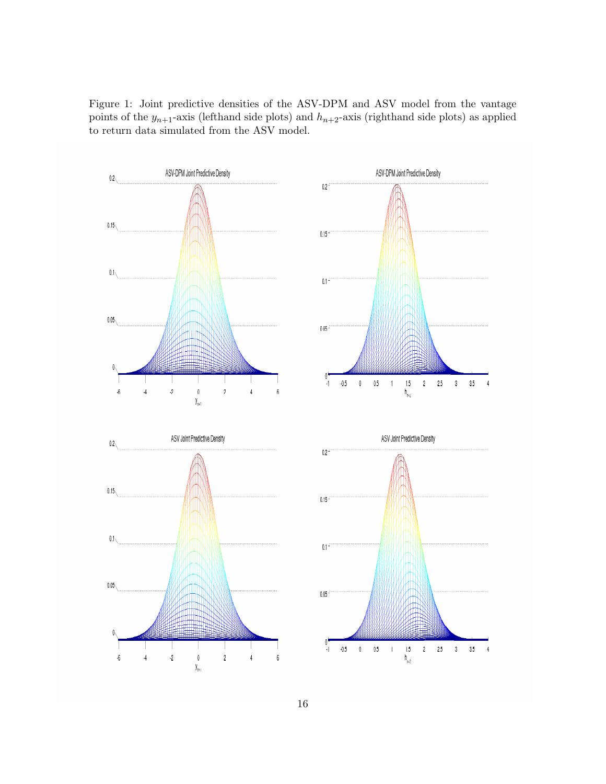Figure 1: Joint predictive densities of the ASV-DPM and ASV model from the vantage points of the  $y_{n+1}$ -axis (lefthand side plots) and  $h_{n+2}$ -axis (righthand side plots) as applied to return data simulated from the ASV model.

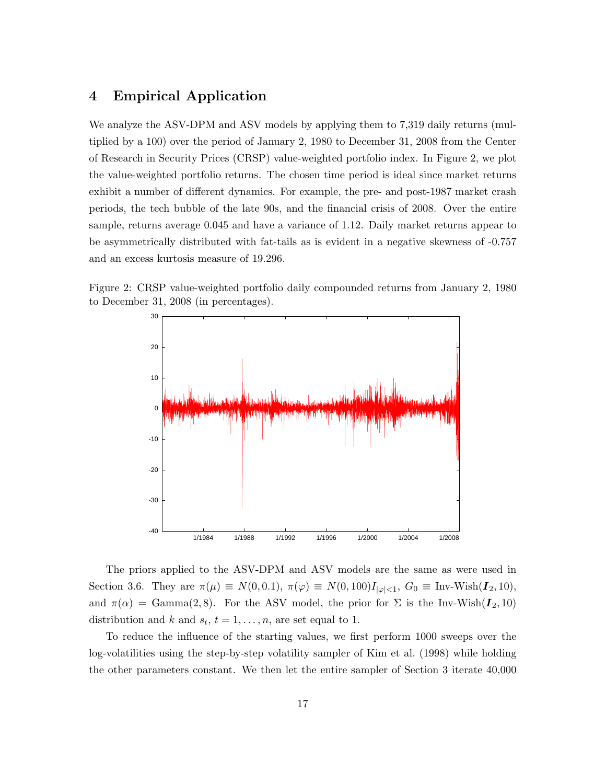# 4 Empirical Application

We analyze the ASV-DPM and ASV models by applying them to 7,319 daily returns (multiplied by a 100) over the period of January 2, 1980 to December 31, 2008 from the Center of Research in Security Prices (CRSP) value-weighted portfolio index. In Figure 2, we plot the value-weighted portfolio returns. The chosen time period is ideal since market returns exhibit a number of different dynamics. For example, the pre- and post-1987 market crash periods, the tech bubble of the late 90s, and the financial crisis of 2008. Over the entire sample, returns average 0.045 and have a variance of 1.12. Daily market returns appear to be asymmetrically distributed with fat-tails as is evident in a negative skewness of -0.757 and an excess kurtosis measure of 19.296.





The priors applied to the ASV-DPM and ASV models are the same as were used in Section 3.6. They are  $\pi(\mu) \equiv N(0, 0.1), \ \pi(\varphi) \equiv N(0, 100)I_{|\varphi|<1}, \ G_0 \equiv \text{Inv-Wish}(\mathbf{I}_2, 10),$ and  $\pi(\alpha)$  = Gamma(2,8). For the ASV model, the prior for  $\Sigma$  is the Inv-Wish( $\mathbf{I}_2$ , 10) distribution and k and  $s_t$ ,  $t = 1, \ldots, n$ , are set equal to 1.

To reduce the influence of the starting values, we first perform 1000 sweeps over the log-volatilities using the step-by-step volatility sampler of Kim et al. (1998) while holding the other parameters constant. We then let the entire sampler of Section 3 iterate 40,000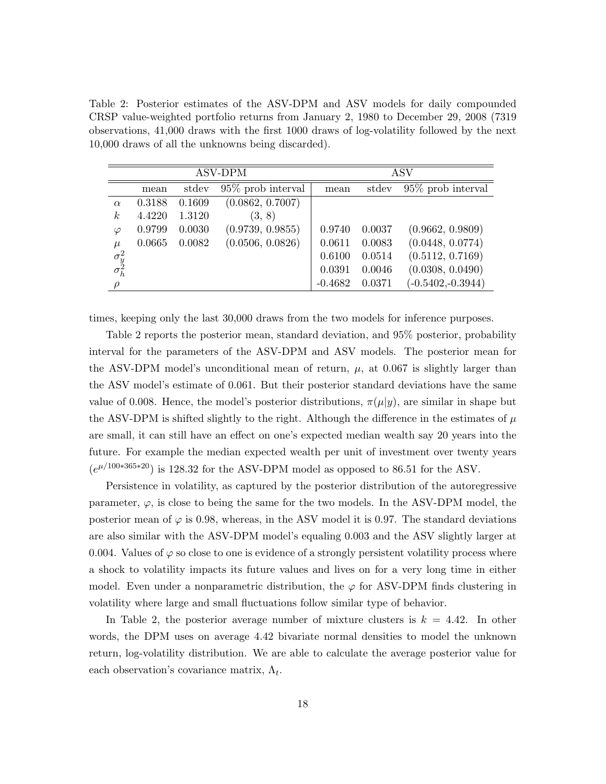Table 2: Posterior estimates of the ASV-DPM and ASV models for daily compounded CRSP value-weighted portfolio returns from January 2, 1980 to December 29, 2008 (7319 observations, 41,000 draws with the first 1000 draws of log-volatility followed by the next 10,000 draws of all the unknowns being discarded).

|                               |        |        | <b>ASV-DPM</b>       | $\operatorname{ASV}$ |        |                      |
|-------------------------------|--------|--------|----------------------|----------------------|--------|----------------------|
|                               | mean   | stdev  | $95\%$ prob interval | mean                 | stdev  | $95\%$ prob interval |
| $\alpha$                      | 0.3188 | 0.1609 | (0.0862, 0.7007)     |                      |        |                      |
| $\boldsymbol{k}$              | 4.4220 | 1.3120 | (3, 8)               |                      |        |                      |
| $\varphi$                     | 0.9799 | 0.0030 | (0.9739, 0.9855)     | 0.9740               | 0.0037 | (0.9662, 0.9809)     |
| $\mu$                         | 0.0665 | 0.0082 | (0.0506, 0.0826)     | 0.0611               | 0.0083 | (0.0448, 0.0774)     |
| $\sigma_y^2 \over \sigma_h^2$ |        |        |                      | 0.6100               | 0.0514 | (0.5112, 0.7169)     |
|                               |        |        |                      | 0.0391               | 0.0046 | (0.0308, 0.0490)     |
| $\rho$                        |        |        |                      | $-0.4682$            | 0.0371 | $(-0.5402,-0.3944)$  |

times, keeping only the last 30,000 draws from the two models for inference purposes.

Table 2 reports the posterior mean, standard deviation, and 95% posterior, probability interval for the parameters of the ASV-DPM and ASV models. The posterior mean for the ASV-DPM model's unconditional mean of return,  $\mu$ , at 0.067 is slightly larger than the ASV model's estimate of 0.061. But their posterior standard deviations have the same value of 0.008. Hence, the model's posterior distributions,  $\pi(\mu|y)$ , are similar in shape but the ASV-DPM is shifted slightly to the right. Although the difference in the estimates of  $\mu$ are small, it can still have an effect on one's expected median wealth say 20 years into the future. For example the median expected wealth per unit of investment over twenty years  $(e^{\mu/100*365*20})$  is 128.32 for the ASV-DPM model as opposed to 86.51 for the ASV.

Persistence in volatility, as captured by the posterior distribution of the autoregressive parameter,  $\varphi$ , is close to being the same for the two models. In the ASV-DPM model, the posterior mean of  $\varphi$  is 0.98, whereas, in the ASV model it is 0.97. The standard deviations are also similar with the ASV-DPM model's equaling 0.003 and the ASV slightly larger at 0.004. Values of  $\varphi$  so close to one is evidence of a strongly persistent volatility process where a shock to volatility impacts its future values and lives on for a very long time in either model. Even under a nonparametric distribution, the  $\varphi$  for ASV-DPM finds clustering in volatility where large and small fluctuations follow similar type of behavior.

In Table 2, the posterior average number of mixture clusters is  $k = 4.42$ . In other words, the DPM uses on average 4.42 bivariate normal densities to model the unknown return, log-volatility distribution. We are able to calculate the average posterior value for each observation's covariance matrix,  $\Lambda_t$ .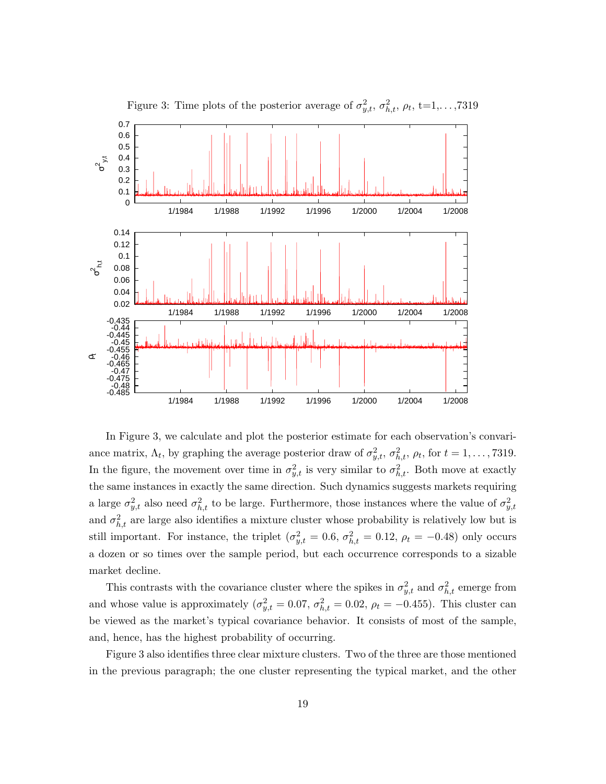

Figure 3: Time plots of the posterior average of  $\sigma_{y,t}^2$ ,  $\sigma_{h,t}^2$ ,  $\rho_t$ , t=1,...,7319

In Figure 3, we calculate and plot the posterior estimate for each observation's convariance matrix,  $\Lambda_t$ , by graphing the average posterior draw of  $\sigma_{y,t}^2$ ,  $\sigma_{h,t}^2$ ,  $\rho_t$ , for  $t = 1, \ldots, 7319$ . In the figure, the movement over time in  $\sigma_{y,t}^2$  is very similar to  $\sigma_{h,t}^2$ . Both move at exactly the same instances in exactly the same direction. Such dynamics suggests markets requiring a large  $\sigma_{y,t}^2$  also need  $\sigma_{h,t}^2$  to be large. Furthermore, those instances where the value of  $\sigma_{y,t}^2$ and  $\sigma_{h,t}^2$  are large also identifies a mixture cluster whose probability is relatively low but is still important. For instance, the triplet  $(\sigma_{y,t}^2 = 0.6, \sigma_{h,t}^2 = 0.12, \rho_t = -0.48)$  only occurs a dozen or so times over the sample period, but each occurrence corresponds to a sizable market decline.

This contrasts with the covariance cluster where the spikes in  $\sigma_{y,t}^2$  and  $\sigma_{h,t}^2$  emerge from and whose value is approximately  $(\sigma_{y,t}^2 = 0.07, \sigma_{h,t}^2 = 0.02, \rho_t = -0.455)$ . This cluster can be viewed as the market's typical covariance behavior. It consists of most of the sample, and, hence, has the highest probability of occurring.

Figure 3 also identifies three clear mixture clusters. Two of the three are those mentioned in the previous paragraph; the one cluster representing the typical market, and the other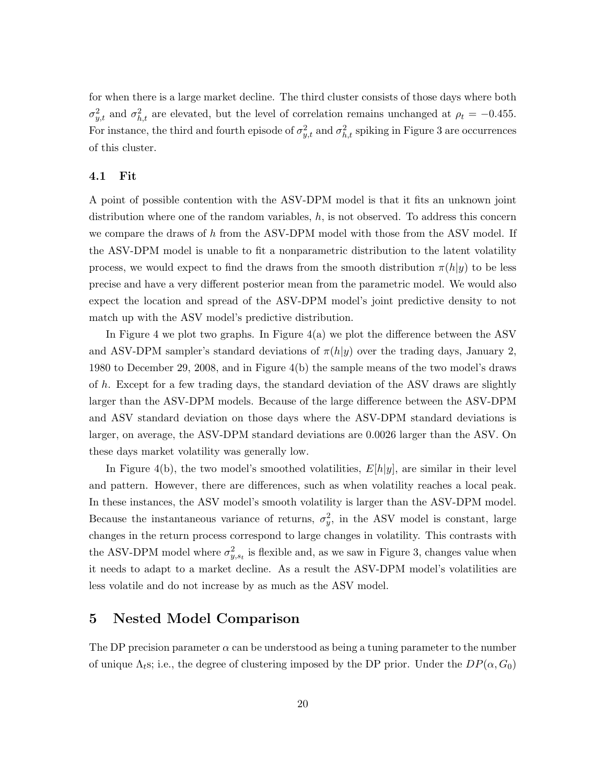for when there is a large market decline. The third cluster consists of those days where both  $\sigma_{y,t}^2$  and  $\sigma_{h,t}^2$  are elevated, but the level of correlation remains unchanged at  $\rho_t = -0.455$ . For instance, the third and fourth episode of  $\sigma_{y,t}^2$  and  $\sigma_{h,t}^2$  spiking in Figure 3 are occurrences of this cluster.

#### 4.1 Fit

A point of possible contention with the ASV-DPM model is that it fits an unknown joint distribution where one of the random variables,  $h$ , is not observed. To address this concern we compare the draws of  $h$  from the ASV-DPM model with those from the ASV model. If the ASV-DPM model is unable to fit a nonparametric distribution to the latent volatility process, we would expect to find the draws from the smooth distribution  $\pi(h|y)$  to be less precise and have a very different posterior mean from the parametric model. We would also expect the location and spread of the ASV-DPM model's joint predictive density to not match up with the ASV model's predictive distribution.

In Figure 4 we plot two graphs. In Figure  $4(a)$  we plot the difference between the ASV and ASV-DPM sampler's standard deviations of  $\pi(h|y)$  over the trading days, January 2, 1980 to December 29, 2008, and in Figure 4(b) the sample means of the two model's draws of h. Except for a few trading days, the standard deviation of the ASV draws are slightly larger than the ASV-DPM models. Because of the large difference between the ASV-DPM and ASV standard deviation on those days where the ASV-DPM standard deviations is larger, on average, the ASV-DPM standard deviations are 0.0026 larger than the ASV. On these days market volatility was generally low.

In Figure 4(b), the two model's smoothed volatilities,  $E[h|y]$ , are similar in their level and pattern. However, there are differences, such as when volatility reaches a local peak. In these instances, the ASV model's smooth volatility is larger than the ASV-DPM model. Because the instantaneous variance of returns,  $\sigma_y^2$ , in the ASV model is constant, large changes in the return process correspond to large changes in volatility. This contrasts with the ASV-DPM model where  $\sigma_{y,s_t}^2$  is flexible and, as we saw in Figure 3, changes value when it needs to adapt to a market decline. As a result the ASV-DPM model's volatilities are less volatile and do not increase by as much as the ASV model.

# 5 Nested Model Comparison

The DP precision parameter  $\alpha$  can be understood as being a tuning parameter to the number of unique  $\Lambda_t$ s; i.e., the degree of clustering imposed by the DP prior. Under the  $DP(\alpha, G_0)$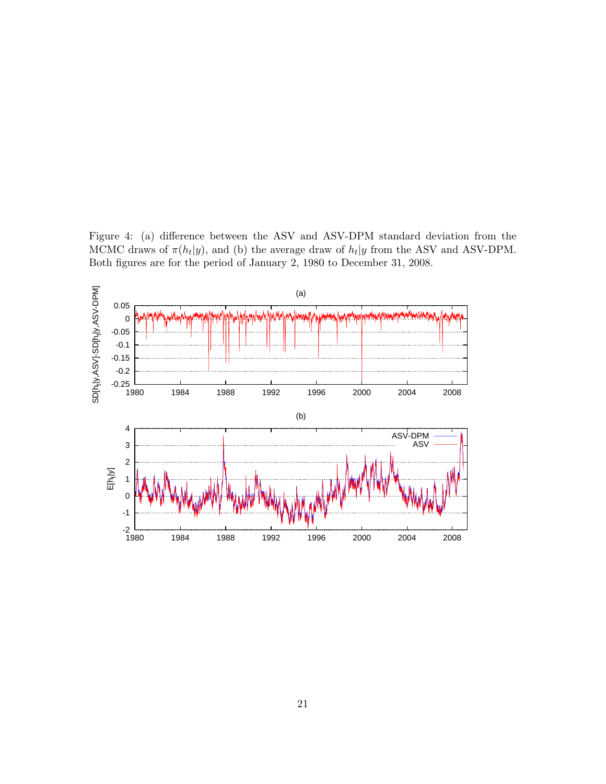Figure 4: (a) difference between the ASV and ASV-DPM standard deviation from the MCMC draws of  $\pi(h_t|y)$ , and (b) the average draw of  $h_t|y$  from the ASV and ASV-DPM. Both figures are for the period of January 2, 1980 to December 31, 2008.

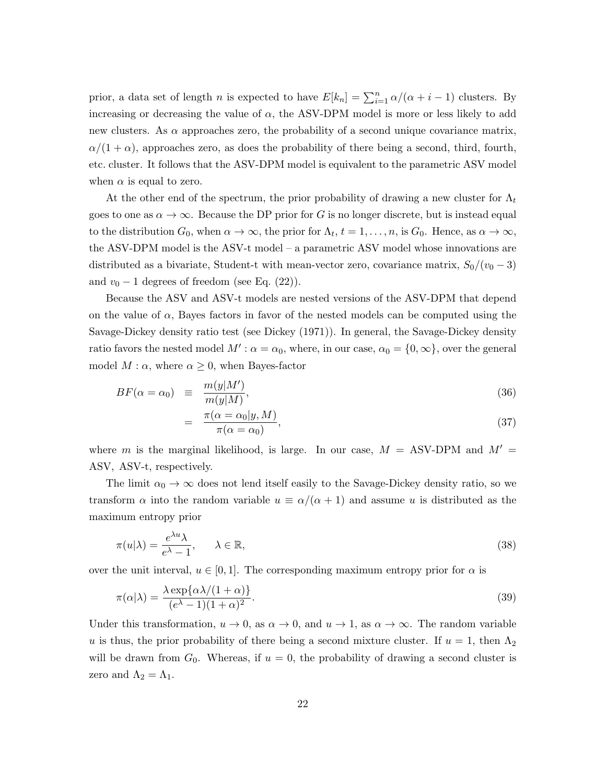prior, a data set of length n is expected to have  $E[k_n] = \sum_{i=1}^n \alpha/(\alpha + i - 1)$  clusters. By increasing or decreasing the value of  $\alpha$ , the ASV-DPM model is more or less likely to add new clusters. As  $\alpha$  approaches zero, the probability of a second unique covariance matrix,  $\alpha/(1+\alpha)$ , approaches zero, as does the probability of there being a second, third, fourth, etc. cluster. It follows that the ASV-DPM model is equivalent to the parametric ASV model when  $\alpha$  is equal to zero.

At the other end of the spectrum, the prior probability of drawing a new cluster for  $\Lambda_t$ goes to one as  $\alpha \to \infty$ . Because the DP prior for G is no longer discrete, but is instead equal to the distribution  $G_0$ , when  $\alpha \to \infty$ , the prior for  $\Lambda_t$ ,  $t = 1, \ldots, n$ , is  $G_0$ . Hence, as  $\alpha \to \infty$ , the ASV-DPM model is the ASV-t model – a parametric ASV model whose innovations are distributed as a bivariate, Student-t with mean-vector zero, covariance matrix,  $S_0/(v_0 - 3)$ and  $v_0 - 1$  degrees of freedom (see Eq. (22)).

Because the ASV and ASV-t models are nested versions of the ASV-DPM that depend on the value of  $\alpha$ , Bayes factors in favor of the nested models can be computed using the Savage-Dickey density ratio test (see Dickey (1971)). In general, the Savage-Dickey density ratio favors the nested model  $M'$ :  $\alpha = \alpha_0$ , where, in our case,  $\alpha_0 = \{0, \infty\}$ , over the general model  $M : \alpha$ , where  $\alpha \geq 0$ , when Bayes-factor

$$
BF(\alpha = \alpha_0) \equiv \frac{m(y|M')}{m(y|M)}, \qquad (36)
$$

$$
\frac{\pi(\alpha = \alpha_0 | y, M)}{\pi(\alpha = \alpha_0)},\tag{37}
$$

where m is the marginal likelihood, is large. In our case,  $M =$  ASV-DPM and  $M' =$ ASV, ASV-t, respectively.

=

The limit  $\alpha_0 \to \infty$  does not lend itself easily to the Savage-Dickey density ratio, so we transform  $\alpha$  into the random variable  $u \equiv \alpha/(\alpha + 1)$  and assume u is distributed as the maximum entropy prior

$$
\pi(u|\lambda) = \frac{e^{\lambda u}\lambda}{e^{\lambda} - 1}, \qquad \lambda \in \mathbb{R},
$$
\n(38)

over the unit interval,  $u \in [0, 1]$ . The corresponding maximum entropy prior for  $\alpha$  is

$$
\pi(\alpha|\lambda) = \frac{\lambda \exp\{\alpha \lambda/(1+\alpha)\}}{(e^{\lambda} - 1)(1+\alpha)^2}.
$$
\n(39)

Under this transformation,  $u \to 0$ , as  $\alpha \to 0$ , and  $u \to 1$ , as  $\alpha \to \infty$ . The random variable u is thus, the prior probability of there being a second mixture cluster. If  $u = 1$ , then  $\Lambda_2$ will be drawn from  $G_0$ . Whereas, if  $u = 0$ , the probability of drawing a second cluster is zero and  $\Lambda_2 = \Lambda_1$ .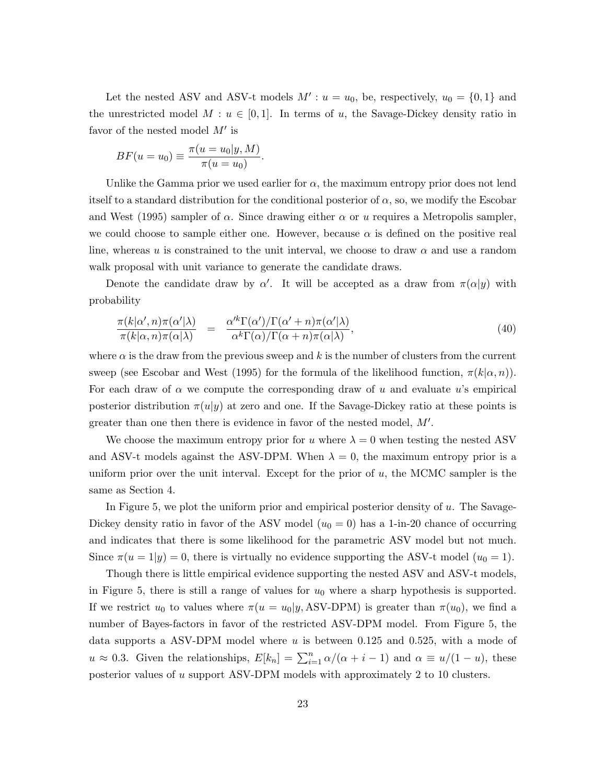Let the nested ASV and ASV-t models  $M' : u = u_0$ , be, respectively,  $u_0 = \{0, 1\}$  and the unrestricted model  $M : u \in [0,1]$ . In terms of u, the Savage-Dickey density ratio in favor of the nested model  $M'$  is

$$
BF(u = u_0) \equiv \frac{\pi(u = u_0|y, M)}{\pi(u = u_0)}.
$$

Unlike the Gamma prior we used earlier for  $\alpha$ , the maximum entropy prior does not lend itself to a standard distribution for the conditional posterior of  $\alpha$ , so, we modify the Escobar and West (1995) sampler of  $\alpha$ . Since drawing either  $\alpha$  or u requires a Metropolis sampler, we could choose to sample either one. However, because  $\alpha$  is defined on the positive real line, whereas u is constrained to the unit interval, we choose to draw  $\alpha$  and use a random walk proposal with unit variance to generate the candidate draws.

Denote the candidate draw by  $\alpha'$ . It will be accepted as a draw from  $\pi(\alpha|y)$  with probability

$$
\frac{\pi(k|\alpha',n)\pi(\alpha'|\lambda)}{\pi(k|\alpha,n)\pi(\alpha|\lambda)} = \frac{\alpha'^k \Gamma(\alpha')/\Gamma(\alpha'+n)\pi(\alpha'|\lambda)}{\alpha^k \Gamma(\alpha)/\Gamma(\alpha+n)\pi(\alpha|\lambda)},
$$
\n(40)

where  $\alpha$  is the draw from the previous sweep and k is the number of clusters from the current sweep (see Escobar and West (1995) for the formula of the likelihood function,  $\pi(k|\alpha, n)$ ). For each draw of  $\alpha$  we compute the corresponding draw of u and evaluate u's empirical posterior distribution  $\pi(u|y)$  at zero and one. If the Savage-Dickey ratio at these points is greater than one then there is evidence in favor of the nested model,  $M'$ .

We choose the maximum entropy prior for u where  $\lambda = 0$  when testing the nested ASV and ASV-t models against the ASV-DPM. When  $\lambda = 0$ , the maximum entropy prior is a uniform prior over the unit interval. Except for the prior of  $u$ , the MCMC sampler is the same as Section 4.

In Figure 5, we plot the uniform prior and empirical posterior density of  $u$ . The Savage-Dickey density ratio in favor of the ASV model  $(u_0 = 0)$  has a 1-in-20 chance of occurring and indicates that there is some likelihood for the parametric ASV model but not much. Since  $\pi(u=1|y)=0$ , there is virtually no evidence supporting the ASV-t model  $(u_0=1)$ .

Though there is little empirical evidence supporting the nested ASV and ASV-t models, in Figure 5, there is still a range of values for  $u_0$  where a sharp hypothesis is supported. If we restrict  $u_0$  to values where  $\pi(u = u_0|y, \text{ASV-DPM})$  is greater than  $\pi(u_0)$ , we find a number of Bayes-factors in favor of the restricted ASV-DPM model. From Figure 5, the data supports a ASV-DPM model where  $u$  is between 0.125 and 0.525, with a mode of  $u \approx 0.3$ . Given the relationships,  $E[k_n] = \sum_{i=1}^n \alpha/(\alpha + i - 1)$  and  $\alpha \equiv u/(1 - u)$ , these posterior values of u support ASV-DPM models with approximately 2 to 10 clusters.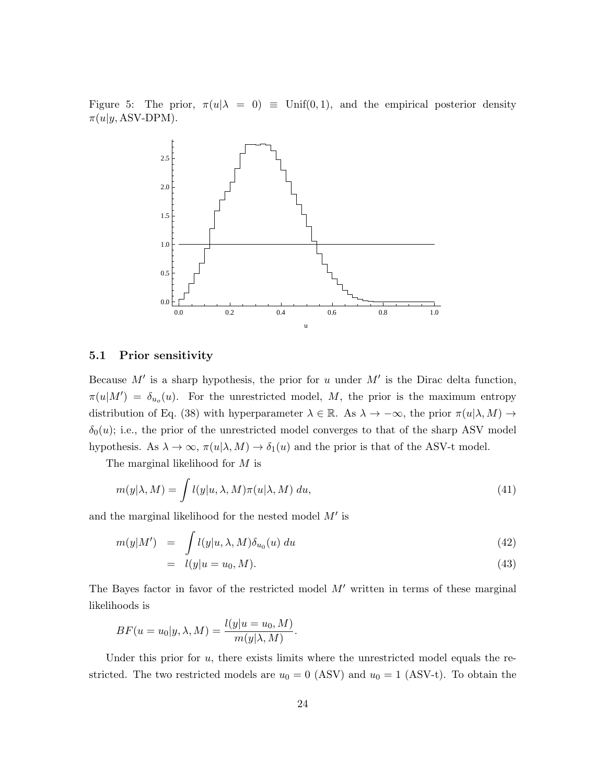Figure 5: The prior,  $\pi(u|\lambda = 0) \equiv$  Unif(0,1), and the empirical posterior density  $\pi(u|y, \text{ASV-DPM}).$ 



### 5.1 Prior sensitivity

Because  $M'$  is a sharp hypothesis, the prior for u under  $M'$  is the Dirac delta function,  $\pi(u|M') = \delta_{u_o}(u)$ . For the unrestricted model, M, the prior is the maximum entropy distribution of Eq. (38) with hyperparameter  $\lambda \in \mathbb{R}$ . As  $\lambda \to -\infty$ , the prior  $\pi(u|\lambda, M) \to$  $\delta_0(u)$ ; i.e., the prior of the unrestricted model converges to that of the sharp ASV model hypothesis. As  $\lambda \to \infty$ ,  $\pi(u|\lambda, M) \to \delta_1(u)$  and the prior is that of the ASV-t model.

The marginal likelihood for M is

$$
m(y|\lambda, M) = \int l(y|u, \lambda, M)\pi(u|\lambda, M) du,
$$
\n(41)

and the marginal likelihood for the nested model  $M'$  is

$$
m(y|M') = \int l(y|u, \lambda, M)\delta_{u_0}(u) du
$$
  
=  $l(y|u = u_0, M).$  (43)

The Bayes factor in favor of the restricted model  $M'$  written in terms of these marginal likelihoods is

$$
BF(u = u_0|y, \lambda, M) = \frac{l(y|u = u_0, M)}{m(y|\lambda, M)}.
$$

Under this prior for  $u$ , there exists limits where the unrestricted model equals the restricted. The two restricted models are  $u_0 = 0$  (ASV) and  $u_0 = 1$  (ASV-t). To obtain the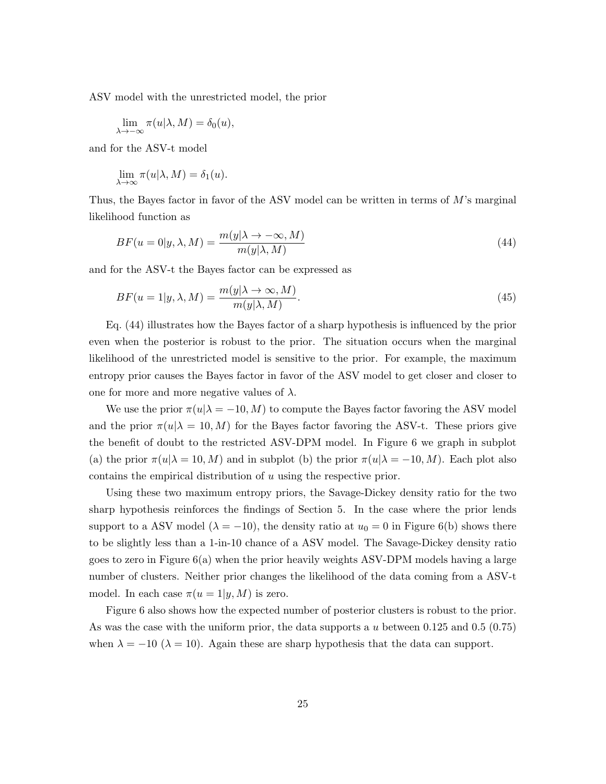ASV model with the unrestricted model, the prior

$$
\lim_{\lambda \to -\infty} \pi(u|\lambda, M) = \delta_0(u),
$$

and for the ASV-t model

$$
\lim_{\lambda \to \infty} \pi(u|\lambda, M) = \delta_1(u).
$$

Thus, the Bayes factor in favor of the ASV model can be written in terms of  $M$ 's marginal likelihood function as

$$
BF(u = 0|y, \lambda, M) = \frac{m(y|\lambda \to -\infty, M)}{m(y|\lambda, M)}
$$
\n(44)

and for the ASV-t the Bayes factor can be expressed as

$$
BF(u = 1|y, \lambda, M) = \frac{m(y|\lambda \to \infty, M)}{m(y|\lambda, M)}.
$$
\n(45)

Eq. (44) illustrates how the Bayes factor of a sharp hypothesis is influenced by the prior even when the posterior is robust to the prior. The situation occurs when the marginal likelihood of the unrestricted model is sensitive to the prior. For example, the maximum entropy prior causes the Bayes factor in favor of the ASV model to get closer and closer to one for more and more negative values of  $\lambda$ .

We use the prior  $\pi(u|\lambda = -10, M)$  to compute the Bayes factor favoring the ASV model and the prior  $\pi(u)\lambda = 10, M$  for the Bayes factor favoring the ASV-t. These priors give the benefit of doubt to the restricted ASV-DPM model. In Figure 6 we graph in subplot (a) the prior  $\pi(u|\lambda = 10, M)$  and in subplot (b) the prior  $\pi(u|\lambda = -10, M)$ . Each plot also contains the empirical distribution of u using the respective prior.

Using these two maximum entropy priors, the Savage-Dickey density ratio for the two sharp hypothesis reinforces the findings of Section 5. In the case where the prior lends support to a ASV model ( $\lambda = -10$ ), the density ratio at  $u_0 = 0$  in Figure 6(b) shows there to be slightly less than a 1-in-10 chance of a ASV model. The Savage-Dickey density ratio goes to zero in Figure 6(a) when the prior heavily weights ASV-DPM models having a large number of clusters. Neither prior changes the likelihood of the data coming from a ASV-t model. In each case  $\pi(u = 1|y, M)$  is zero.

Figure 6 also shows how the expected number of posterior clusters is robust to the prior. As was the case with the uniform prior, the data supports a u between 0.125 and 0.5 (0.75) when  $\lambda = -10$  ( $\lambda = 10$ ). Again these are sharp hypothesis that the data can support.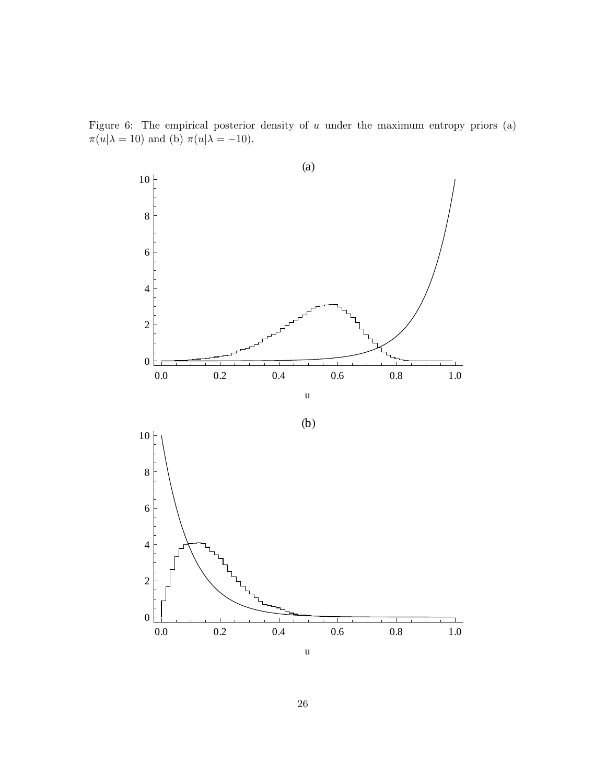Figure 6: The empirical posterior density of  $u$  under the maximum entropy priors  $(a)$  $\pi(u|\lambda = 10)$  and (b)  $\pi(u|\lambda = -10)$ .

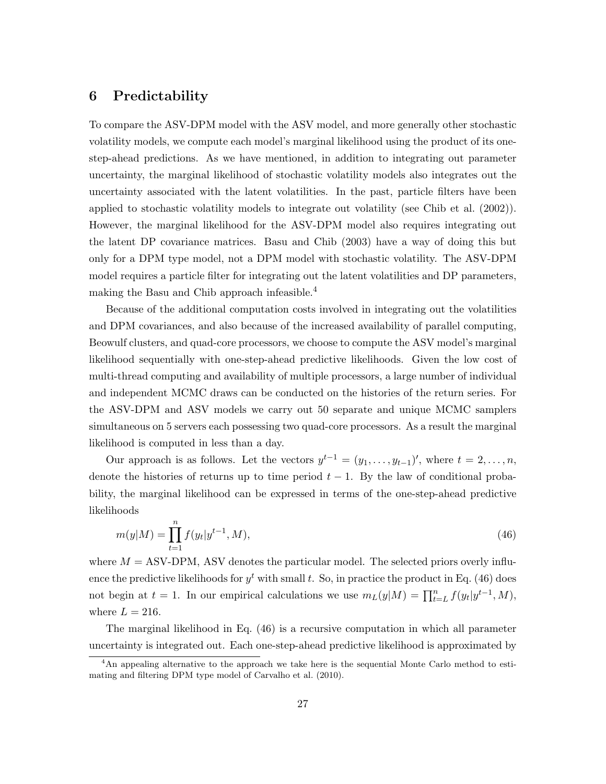# 6 Predictability

To compare the ASV-DPM model with the ASV model, and more generally other stochastic volatility models, we compute each model's marginal likelihood using the product of its onestep-ahead predictions. As we have mentioned, in addition to integrating out parameter uncertainty, the marginal likelihood of stochastic volatility models also integrates out the uncertainty associated with the latent volatilities. In the past, particle filters have been applied to stochastic volatility models to integrate out volatility (see Chib et al. (2002)). However, the marginal likelihood for the ASV-DPM model also requires integrating out the latent DP covariance matrices. Basu and Chib (2003) have a way of doing this but only for a DPM type model, not a DPM model with stochastic volatility. The ASV-DPM model requires a particle filter for integrating out the latent volatilities and DP parameters, making the Basu and Chib approach infeasible.<sup>4</sup>

Because of the additional computation costs involved in integrating out the volatilities and DPM covariances, and also because of the increased availability of parallel computing, Beowulf clusters, and quad-core processors, we choose to compute the ASV model's marginal likelihood sequentially with one-step-ahead predictive likelihoods. Given the low cost of multi-thread computing and availability of multiple processors, a large number of individual and independent MCMC draws can be conducted on the histories of the return series. For the ASV-DPM and ASV models we carry out 50 separate and unique MCMC samplers simultaneous on 5 servers each possessing two quad-core processors. As a result the marginal likelihood is computed in less than a day.

Our approach is as follows. Let the vectors  $y^{t-1} = (y_1, \ldots, y_{t-1})'$ , where  $t = 2, \ldots, n$ , denote the histories of returns up to time period  $t - 1$ . By the law of conditional probability, the marginal likelihood can be expressed in terms of the one-step-ahead predictive likelihoods

$$
m(y|M) = \prod_{t=1}^{n} f(y_t|y^{t-1}, M),
$$
\n(46)

where  $M = ASV-DPM$ , ASV denotes the particular model. The selected priors overly influence the predictive likelihoods for  $y<sup>t</sup>$  with small t. So, in practice the product in Eq. (46) does not begin at  $t = 1$ . In our empirical calculations we use  $m_L(y|M) = \prod_{t=L}^{n} f(y_t|y^{t-1}, M)$ , where  $L = 216$ .

The marginal likelihood in Eq. (46) is a recursive computation in which all parameter uncertainty is integrated out. Each one-step-ahead predictive likelihood is approximated by

<sup>&</sup>lt;sup>4</sup>An appealing alternative to the approach we take here is the sequential Monte Carlo method to estimating and filtering DPM type model of Carvalho et al. (2010).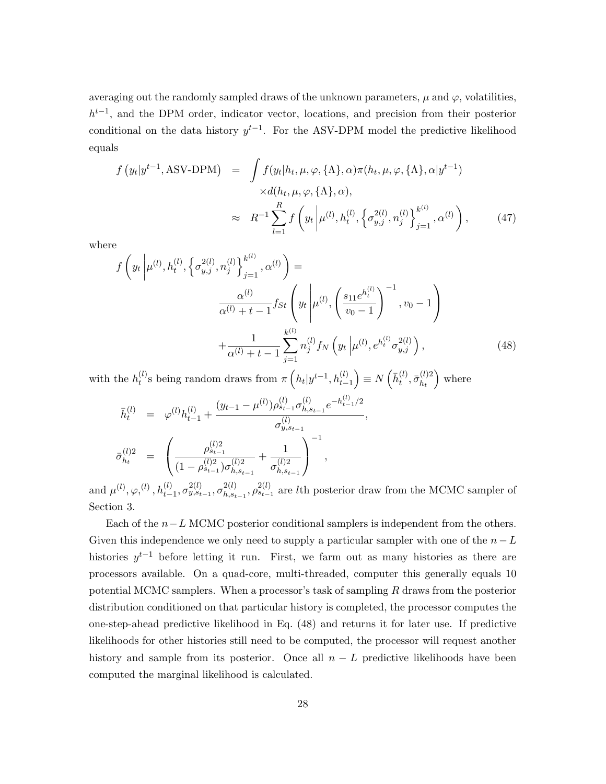averaging out the randomly sampled draws of the unknown parameters,  $\mu$  and  $\varphi$ , volatilities, h<sup>t-1</sup>, and the DPM order, indicator vector, locations, and precision from their posterior conditional on the data history  $y^{t-1}$ . For the ASV-DPM model the predictive likelihood equals

$$
f(y_t|y^{t-1}, \text{ASV-DPM}) = \int f(y_t|h_t, \mu, \varphi, \{\Lambda\}, \alpha) \pi(h_t, \mu, \varphi, \{\Lambda\}, \alpha | y^{t-1})
$$

$$
\times d(h_t, \mu, \varphi, \{\Lambda\}, \alpha),
$$

$$
\approx R^{-1} \sum_{l=1}^R f\left(y_t \left| \mu^{(l)}, h_t^{(l)}, \left\{\sigma_{y,j}^{2(l)}, n_j^{(l)}\right\}_{j=1}^{k^{(l)}}, \alpha^{(l)}\right), \tag{47}
$$

where

$$
f\left(y_t \middle| \mu^{(l)}, h_t^{(l)}, \left\{\sigma_{y,j}^{2(l)}, n_j^{(l)}\right\}_{j=1}^{k^{(l)}}, \alpha^{(l)}\right) = \frac{\alpha^{(l)}}{\alpha^{(l)} + t - 1} f_{St}\left(y_t \middle| \mu^{(l)}, \left(\frac{s_{11}e^{h_t^{(l)}}}{v_0 - 1}\right)^{-1}, v_0 - 1\right) + \frac{1}{\alpha^{(l)} + t - 1} \sum_{j=1}^{k^{(l)}} n_j^{(l)} f_N\left(y_t \middle| \mu^{(l)}, e^{h_t^{(l)}} \sigma_{y,j}^{2(l)}\right),
$$
\n(48)

,

with the  $h_t^{(l)}$  $\mathbf{t}^{(l)}$ s being random draws from  $\pi\left(h_t|y^{t-1}, h_{t-1}^{(l)}\right)$  $= N\left(\bar{h}_t^{(l)}\right)$  $_{t}^{(l)},\bar{\sigma}_{h_{t}}^{(l)2}$  $h_t$ ) where

$$
\bar{h}_t^{(l)} = \varphi^{(l)} h_{t-1}^{(l)} + \frac{(y_{t-1} - \mu^{(l)}) \rho_{s_{t-1}}^{(l)} \sigma_{h, s_{t-1}}^{(l)}}{\sigma_{y, s_{t-1}}^{(l)}}
$$
\n
$$
\bar{\sigma}_{h_t}^{(l)2} = \left( \frac{\rho_{s_{t-1}}^{(l)2}}{(1 - \rho_{s_{t-1}}^{(l)2}) \sigma_{h, s_{t-1}}^{(l)2}} + \frac{1}{\sigma_{h, s_{t-1}}^{(l)2}} \right)^{-1},
$$
\n
$$
\bar{h}_t^{(l)} = \bar{h}_t^{(l)} \sigma_{h, s_{t-1}}^{(l)2} + \frac{1}{\sigma_{h, s_{t-1}}^{(l)2}} \sigma_{h, s_{t-1}}^{(l)2}.
$$

and  $\mu^{(l)}, \varphi, ^{(l)}, h_{t-1}^{(l)}, \sigma^{2(l)}_{y,s_{t-1}}, \sigma^{2(l)}_{h,s_t}$  $h_{k,s_{t-1}}^{2(l)}, \rho_{s_{t-1}}^{2(l)}$  are *l*th posterior draw from the MCMC sampler of Section 3.

Each of the  $n-L$  MCMC posterior conditional samplers is independent from the others. Given this independence we only need to supply a particular sampler with one of the  $n - L$ histories  $y^{t-1}$  before letting it run. First, we farm out as many histories as there are processors available. On a quad-core, multi-threaded, computer this generally equals 10 potential MCMC samplers. When a processor's task of sampling R draws from the posterior distribution conditioned on that particular history is completed, the processor computes the one-step-ahead predictive likelihood in Eq. (48) and returns it for later use. If predictive likelihoods for other histories still need to be computed, the processor will request another history and sample from its posterior. Once all  $n - L$  predictive likelihoods have been computed the marginal likelihood is calculated.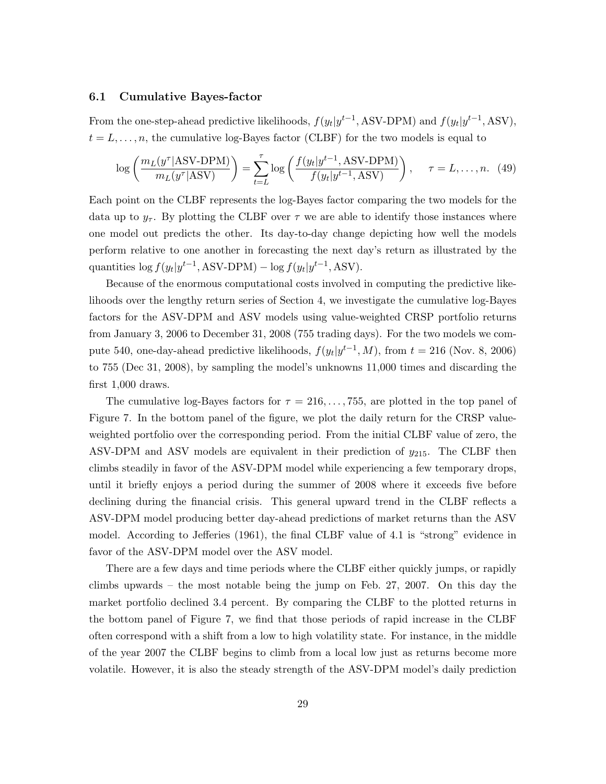### 6.1 Cumulative Bayes-factor

From the one-step-ahead predictive likelihoods,  $f(y_t|y^{t-1}, \text{ASV-DPM})$  and  $f(y_t|y^{t-1}, \text{ASV})$ ,  $t = L, \ldots, n$ , the cumulative log-Bayes factor (CLBF) for the two models is equal to

$$
\log\left(\frac{m_L(y^\tau|\text{ASV-DPM})}{m_L(y^\tau|\text{ASV})}\right) = \sum_{t=L}^\tau \log\left(\frac{f(y_t|y^{t-1}, \text{ASV-DPM})}{f(y_t|y^{t-1}, \text{ASV})}\right), \quad \tau = L, \dots, n. \tag{49}
$$

Each point on the CLBF represents the log-Bayes factor comparing the two models for the data up to  $y_{\tau}$ . By plotting the CLBF over  $\tau$  we are able to identify those instances where one model out predicts the other. Its day-to-day change depicting how well the models perform relative to one another in forecasting the next day's return as illustrated by the quantities  $\log f(y_t|y^{t-1}, \text{ASV-DPM}) - \log f(y_t|y^{t-1}, \text{ASV}).$ 

Because of the enormous computational costs involved in computing the predictive likelihoods over the lengthy return series of Section 4, we investigate the cumulative log-Bayes factors for the ASV-DPM and ASV models using value-weighted CRSP portfolio returns from January 3, 2006 to December 31, 2008 (755 trading days). For the two models we compute 540, one-day-ahead predictive likelihoods,  $f(y_t|y^{t-1}, M)$ , from  $t = 216$  (Nov. 8, 2006) to 755 (Dec 31, 2008), by sampling the model's unknowns 11,000 times and discarding the first 1,000 draws.

The cumulative log-Bayes factors for  $\tau = 216, \ldots, 755$ , are plotted in the top panel of Figure 7. In the bottom panel of the figure, we plot the daily return for the CRSP valueweighted portfolio over the corresponding period. From the initial CLBF value of zero, the ASV-DPM and ASV models are equivalent in their prediction of  $y_{215}$ . The CLBF then climbs steadily in favor of the ASV-DPM model while experiencing a few temporary drops, until it briefly enjoys a period during the summer of 2008 where it exceeds five before declining during the financial crisis. This general upward trend in the CLBF reflects a ASV-DPM model producing better day-ahead predictions of market returns than the ASV model. According to Jefferies (1961), the final CLBF value of 4.1 is "strong" evidence in favor of the ASV-DPM model over the ASV model.

There are a few days and time periods where the CLBF either quickly jumps, or rapidly climbs upwards – the most notable being the jump on Feb. 27, 2007. On this day the market portfolio declined 3.4 percent. By comparing the CLBF to the plotted returns in the bottom panel of Figure 7, we find that those periods of rapid increase in the CLBF often correspond with a shift from a low to high volatility state. For instance, in the middle of the year 2007 the CLBF begins to climb from a local low just as returns become more volatile. However, it is also the steady strength of the ASV-DPM model's daily prediction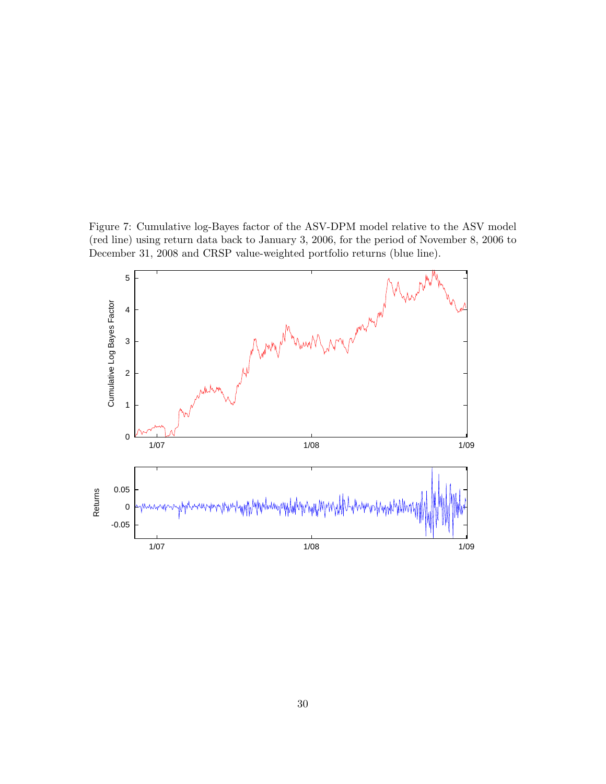Figure 7: Cumulative log-Bayes factor of the ASV-DPM model relative to the ASV model (red line) using return data back to January 3, 2006, for the period of November 8, 2006 to December 31, 2008 and CRSP value-weighted portfolio returns (blue line).

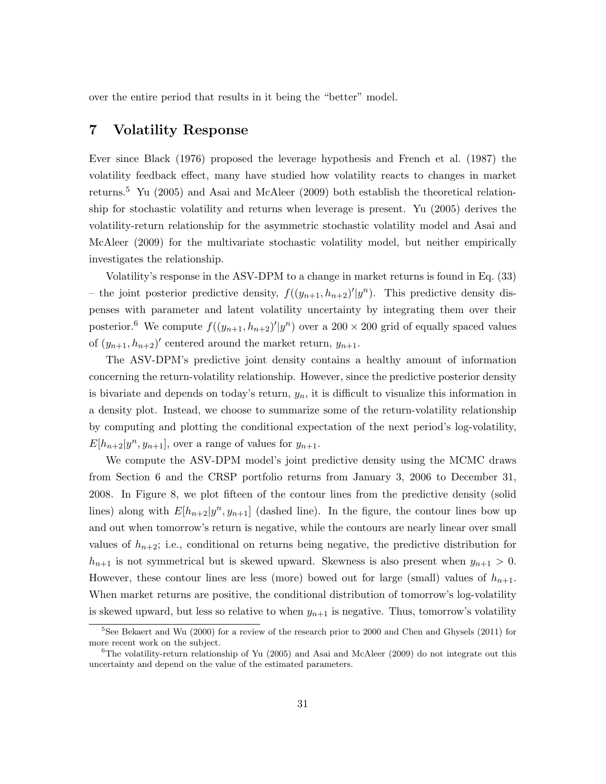over the entire period that results in it being the "better" model.

## 7 Volatility Response

Ever since Black (1976) proposed the leverage hypothesis and French et al. (1987) the volatility feedback effect, many have studied how volatility reacts to changes in market returns.<sup>5</sup> Yu (2005) and Asai and McAleer (2009) both establish the theoretical relationship for stochastic volatility and returns when leverage is present. Yu (2005) derives the volatility-return relationship for the asymmetric stochastic volatility model and Asai and McAleer (2009) for the multivariate stochastic volatility model, but neither empirically investigates the relationship.

Volatility's response in the ASV-DPM to a change in market returns is found in Eq. (33) – the joint posterior predictive density,  $f((y_{n+1}, h_{n+2})'|y^n)$ . This predictive density dispenses with parameter and latent volatility uncertainty by integrating them over their posterior.<sup>6</sup> We compute  $f((y_{n+1}, h_{n+2})'|y^n)$  over a 200 × 200 grid of equally spaced values of  $(y_{n+1}, h_{n+2})'$  centered around the market return,  $y_{n+1}$ .

The ASV-DPM's predictive joint density contains a healthy amount of information concerning the return-volatility relationship. However, since the predictive posterior density is bivariate and depends on today's return,  $y_n$ , it is difficult to visualize this information in a density plot. Instead, we choose to summarize some of the return-volatility relationship by computing and plotting the conditional expectation of the next period's log-volatility,  $E[h_{n+2}|y^n, y_{n+1}]$ , over a range of values for  $y_{n+1}$ .

We compute the ASV-DPM model's joint predictive density using the MCMC draws from Section 6 and the CRSP portfolio returns from January 3, 2006 to December 31, 2008. In Figure 8, we plot fifteen of the contour lines from the predictive density (solid lines) along with  $E[h_{n+2}|y^n, y_{n+1}]$  (dashed line). In the figure, the contour lines bow up and out when tomorrow's return is negative, while the contours are nearly linear over small values of  $h_{n+2}$ ; i.e., conditional on returns being negative, the predictive distribution for  $h_{n+1}$  is not symmetrical but is skewed upward. Skewness is also present when  $y_{n+1} > 0$ . However, these contour lines are less (more) bowed out for large (small) values of  $h_{n+1}$ . When market returns are positive, the conditional distribution of tomorrow's log-volatility is skewed upward, but less so relative to when  $y_{n+1}$  is negative. Thus, tomorrow's volatility

<sup>5</sup>See Bekaert and Wu (2000) for a review of the research prior to 2000 and Chen and Ghysels (2011) for more recent work on the subject.

<sup>&</sup>lt;sup>6</sup>The volatility-return relationship of Yu (2005) and Asai and McAleer (2009) do not integrate out this uncertainty and depend on the value of the estimated parameters.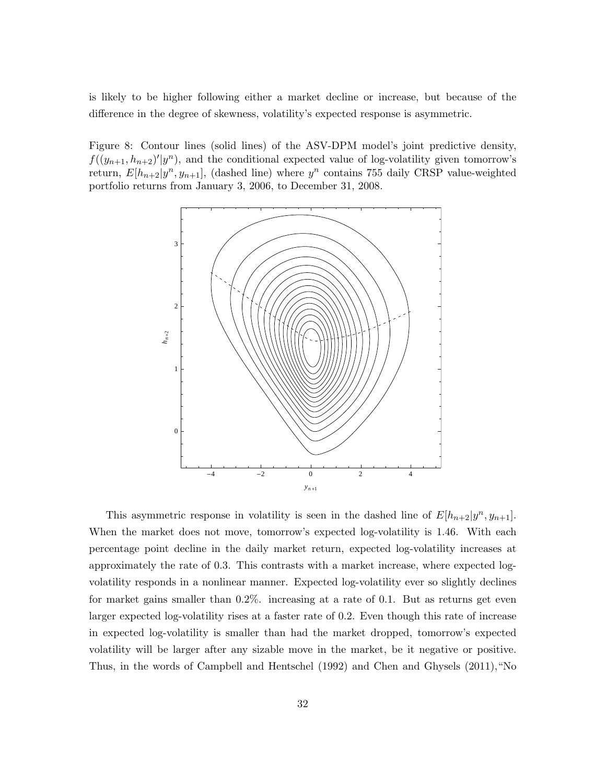is likely to be higher following either a market decline or increase, but because of the difference in the degree of skewness, volatility's expected response is asymmetric.

Figure 8: Contour lines (solid lines) of the ASV-DPM model's joint predictive density,  $f((y_{n+1}, h_{n+2})' | y^n)$ , and the conditional expected value of log-volatility given tomorrow's return,  $E[h_{n+2}|y^n, y_{n+1}]$ , (dashed line) where  $y^n$  contains 755 daily CRSP value-weighted portfolio returns from January 3, 2006, to December 31, 2008.



This asymmetric response in volatility is seen in the dashed line of  $E[h_{n+2}|y^n, y_{n+1}]$ . When the market does not move, tomorrow's expected log-volatility is 1.46. With each percentage point decline in the daily market return, expected log-volatility increases at approximately the rate of 0.3. This contrasts with a market increase, where expected logvolatility responds in a nonlinear manner. Expected log-volatility ever so slightly declines for market gains smaller than 0.2%. increasing at a rate of 0.1. But as returns get even larger expected log-volatility rises at a faster rate of 0.2. Even though this rate of increase in expected log-volatility is smaller than had the market dropped, tomorrow's expected volatility will be larger after any sizable move in the market, be it negative or positive. Thus, in the words of Campbell and Hentschel (1992) and Chen and Ghysels (2011),"No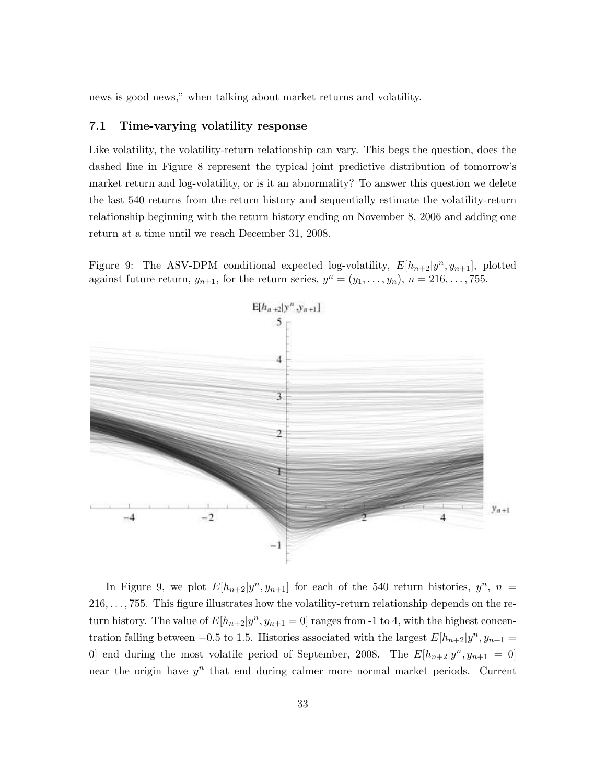news is good news," when talking about market returns and volatility.

### 7.1 Time-varying volatility response

Like volatility, the volatility-return relationship can vary. This begs the question, does the dashed line in Figure 8 represent the typical joint predictive distribution of tomorrow's market return and log-volatility, or is it an abnormality? To answer this question we delete the last 540 returns from the return history and sequentially estimate the volatility-return relationship beginning with the return history ending on November 8, 2006 and adding one return at a time until we reach December 31, 2008.

Figure 9: The ASV-DPM conditional expected log-volatility,  $E[h_{n+2}|y^n, y_{n+1}]$ , plotted against future return,  $y_{n+1}$ , for the return series,  $y^n = (y_1, \ldots, y_n)$ ,  $n = 216, \ldots, 755$ .



In Figure 9, we plot  $E[h_{n+2}|y^n, y_{n+1}]$  for each of the 540 return histories,  $y^n$ ,  $n =$ 216, . . . , 755. This figure illustrates how the volatility-return relationship depends on the return history. The value of  $E[h_{n+2}|y^n, y_{n+1} = 0]$  ranges from -1 to 4, with the highest concentration falling between  $-0.5$  to 1.5. Histories associated with the largest  $E[h_{n+2}|y^n, y_{n+1} =$ 0] end during the most volatile period of September, 2008. The  $E[h_{n+2}|y^n, y_{n+1} = 0]$ near the origin have  $y^n$  that end during calmer more normal market periods. Current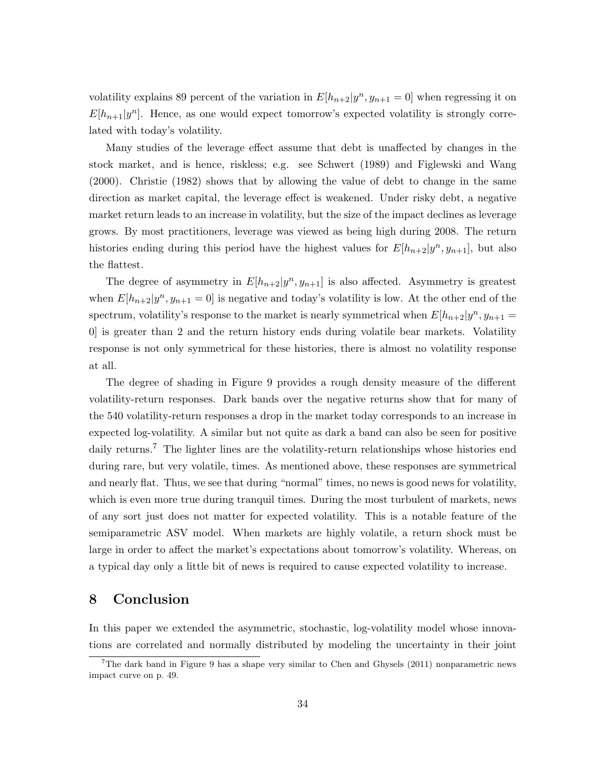volatility explains 89 percent of the variation in  $E[h_{n+2}|y^n, y_{n+1} = 0]$  when regressing it on  $E[h_{n+1}|y^n]$ . Hence, as one would expect tomorrow's expected volatility is strongly correlated with today's volatility.

Many studies of the leverage effect assume that debt is unaffected by changes in the stock market, and is hence, riskless; e.g. see Schwert (1989) and Figlewski and Wang (2000). Christie (1982) shows that by allowing the value of debt to change in the same direction as market capital, the leverage effect is weakened. Under risky debt, a negative market return leads to an increase in volatility, but the size of the impact declines as leverage grows. By most practitioners, leverage was viewed as being high during 2008. The return histories ending during this period have the highest values for  $E[h_{n+2}|y^n, y_{n+1}]$ , but also the flattest.

The degree of asymmetry in  $E[h_{n+2}|y^n, y_{n+1}]$  is also affected. Asymmetry is greatest when  $E[h_{n+2}|y^n, y_{n+1} = 0]$  is negative and today's volatility is low. At the other end of the spectrum, volatility's response to the market is nearly symmetrical when  $E[h_{n+2}|y^n, y_{n+1} =$ 0] is greater than 2 and the return history ends during volatile bear markets. Volatility response is not only symmetrical for these histories, there is almost no volatility response at all.

The degree of shading in Figure 9 provides a rough density measure of the different volatility-return responses. Dark bands over the negative returns show that for many of the 540 volatility-return responses a drop in the market today corresponds to an increase in expected log-volatility. A similar but not quite as dark a band can also be seen for positive daily returns.<sup>7</sup> The lighter lines are the volatility-return relationships whose histories end during rare, but very volatile, times. As mentioned above, these responses are symmetrical and nearly flat. Thus, we see that during "normal" times, no news is good news for volatility, which is even more true during tranquil times. During the most turbulent of markets, news of any sort just does not matter for expected volatility. This is a notable feature of the semiparametric ASV model. When markets are highly volatile, a return shock must be large in order to affect the market's expectations about tomorrow's volatility. Whereas, on a typical day only a little bit of news is required to cause expected volatility to increase.

## 8 Conclusion

In this paper we extended the asymmetric, stochastic, log-volatility model whose innovations are correlated and normally distributed by modeling the uncertainty in their joint

<sup>&</sup>lt;sup>7</sup>The dark band in Figure 9 has a shape very similar to Chen and Ghysels (2011) nonparametric news impact curve on p. 49.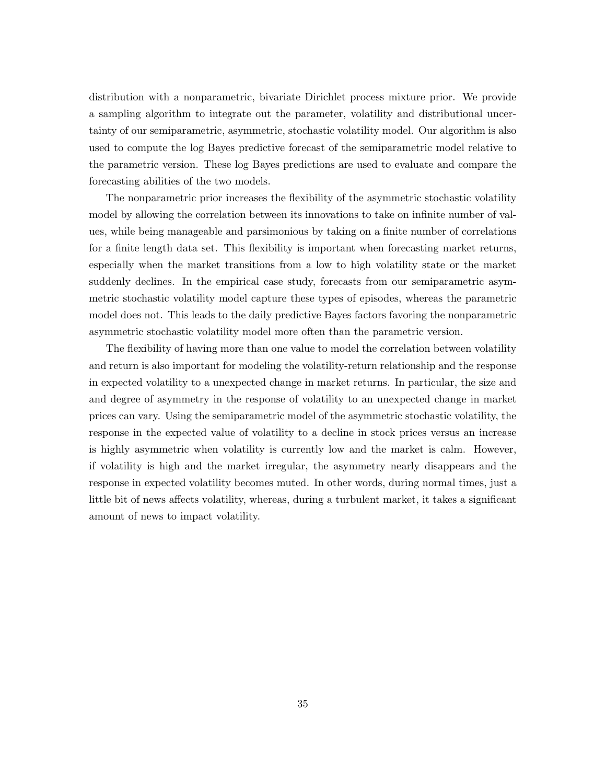distribution with a nonparametric, bivariate Dirichlet process mixture prior. We provide a sampling algorithm to integrate out the parameter, volatility and distributional uncertainty of our semiparametric, asymmetric, stochastic volatility model. Our algorithm is also used to compute the log Bayes predictive forecast of the semiparametric model relative to the parametric version. These log Bayes predictions are used to evaluate and compare the forecasting abilities of the two models.

The nonparametric prior increases the flexibility of the asymmetric stochastic volatility model by allowing the correlation between its innovations to take on infinite number of values, while being manageable and parsimonious by taking on a finite number of correlations for a finite length data set. This flexibility is important when forecasting market returns, especially when the market transitions from a low to high volatility state or the market suddenly declines. In the empirical case study, forecasts from our semiparametric asymmetric stochastic volatility model capture these types of episodes, whereas the parametric model does not. This leads to the daily predictive Bayes factors favoring the nonparametric asymmetric stochastic volatility model more often than the parametric version.

The flexibility of having more than one value to model the correlation between volatility and return is also important for modeling the volatility-return relationship and the response in expected volatility to a unexpected change in market returns. In particular, the size and and degree of asymmetry in the response of volatility to an unexpected change in market prices can vary. Using the semiparametric model of the asymmetric stochastic volatility, the response in the expected value of volatility to a decline in stock prices versus an increase is highly asymmetric when volatility is currently low and the market is calm. However, if volatility is high and the market irregular, the asymmetry nearly disappears and the response in expected volatility becomes muted. In other words, during normal times, just a little bit of news affects volatility, whereas, during a turbulent market, it takes a significant amount of news to impact volatility.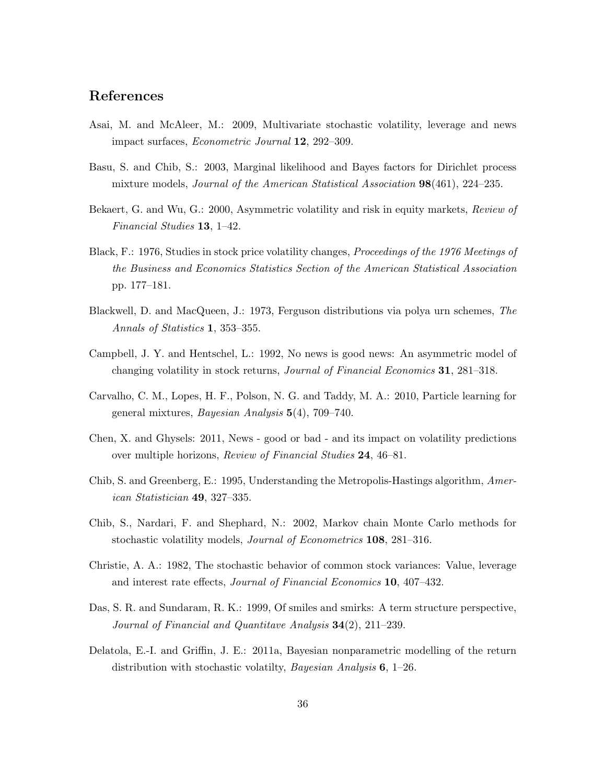# References

- Asai, M. and McAleer, M.: 2009, Multivariate stochastic volatility, leverage and news impact surfaces, Econometric Journal 12, 292–309.
- Basu, S. and Chib, S.: 2003, Marginal likelihood and Bayes factors for Dirichlet process mixture models, Journal of the American Statistical Association 98(461), 224–235.
- Bekaert, G. and Wu, G.: 2000, Asymmetric volatility and risk in equity markets, Review of Financial Studies 13, 1–42.
- Black, F.: 1976, Studies in stock price volatility changes, *Proceedings of the 1976 Meetings of* the Business and Economics Statistics Section of the American Statistical Association pp. 177–181.
- Blackwell, D. and MacQueen, J.: 1973, Ferguson distributions via polya urn schemes, The Annals of Statistics 1, 353–355.
- Campbell, J. Y. and Hentschel, L.: 1992, No news is good news: An asymmetric model of changing volatility in stock returns, Journal of Financial Economics 31, 281–318.
- Carvalho, C. M., Lopes, H. F., Polson, N. G. and Taddy, M. A.: 2010, Particle learning for general mixtures, Bayesian Analysis 5(4), 709–740.
- Chen, X. and Ghysels: 2011, News good or bad and its impact on volatility predictions over multiple horizons, Review of Financial Studies 24, 46–81.
- Chib, S. and Greenberg, E.: 1995, Understanding the Metropolis-Hastings algorithm, American Statistician 49, 327–335.
- Chib, S., Nardari, F. and Shephard, N.: 2002, Markov chain Monte Carlo methods for stochastic volatility models, Journal of Econometrics 108, 281–316.
- Christie, A. A.: 1982, The stochastic behavior of common stock variances: Value, leverage and interest rate effects, Journal of Financial Economics 10, 407–432.
- Das, S. R. and Sundaram, R. K.: 1999, Of smiles and smirks: A term structure perspective, Journal of Financial and Quantitave Analysis 34(2), 211–239.
- Delatola, E.-I. and Griffin, J. E.: 2011a, Bayesian nonparametric modelling of the return distribution with stochastic volatilty, Bayesian Analysis 6, 1–26.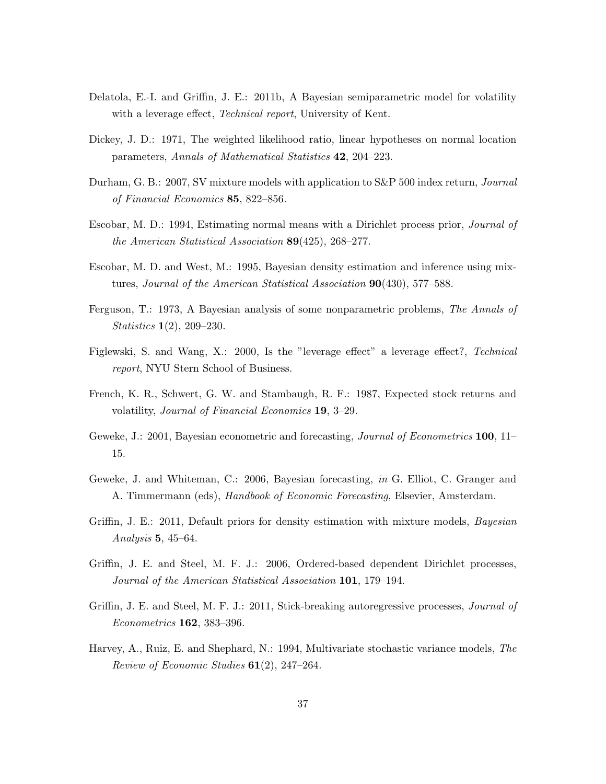- Delatola, E.-I. and Griffin, J. E.: 2011b, A Bayesian semiparametric model for volatility with a leverage effect, *Technical report*, University of Kent.
- Dickey, J. D.: 1971, The weighted likelihood ratio, linear hypotheses on normal location parameters, Annals of Mathematical Statistics 42, 204–223.
- Durham, G. B.: 2007, SV mixture models with application to S&P 500 index return, *Journal* of Financial Economics 85, 822–856.
- Escobar, M. D.: 1994, Estimating normal means with a Dirichlet process prior, Journal of the American Statistical Association 89(425), 268–277.
- Escobar, M. D. and West, M.: 1995, Bayesian density estimation and inference using mixtures, Journal of the American Statistical Association 90(430), 577–588.
- Ferguson, T.: 1973, A Bayesian analysis of some nonparametric problems, The Annals of Statistics 1(2), 209–230.
- Figlewski, S. and Wang, X.: 2000, Is the "leverage effect" a leverage effect?, Technical report, NYU Stern School of Business.
- French, K. R., Schwert, G. W. and Stambaugh, R. F.: 1987, Expected stock returns and volatility, Journal of Financial Economics 19, 3–29.
- Geweke, J.: 2001, Bayesian econometric and forecasting, *Journal of Econometrics* 100, 11– 15.
- Geweke, J. and Whiteman, C.: 2006, Bayesian forecasting, in G. Elliot, C. Granger and A. Timmermann (eds), Handbook of Economic Forecasting, Elsevier, Amsterdam.
- Griffin, J. E.: 2011, Default priors for density estimation with mixture models, *Bayesian* Analysis 5, 45–64.
- Griffin, J. E. and Steel, M. F. J.: 2006, Ordered-based dependent Dirichlet processes, Journal of the American Statistical Association 101, 179–194.
- Griffin, J. E. and Steel, M. F. J.: 2011, Stick-breaking autoregressive processes, *Journal of* Econometrics 162, 383–396.
- Harvey, A., Ruiz, E. and Shephard, N.: 1994, Multivariate stochastic variance models, The Review of Economic Studies 61(2), 247–264.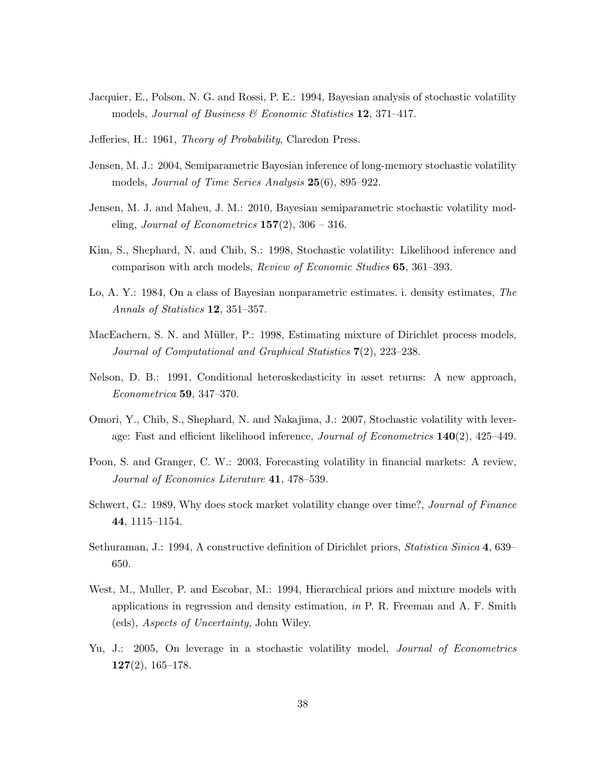- Jacquier, E., Polson, N. G. and Rossi, P. E.: 1994, Bayesian analysis of stochastic volatility models, Journal of Business  $\mathcal C$  Economic Statistics 12, 371-417.
- Jefferies, H.: 1961, *Theory of Probability*, Claredon Press.
- Jensen, M. J.: 2004, Semiparametric Bayesian inference of long-memory stochastic volatility models, Journal of Time Series Analysis 25(6), 895–922.
- Jensen, M. J. and Maheu, J. M.: 2010, Bayesian semiparametric stochastic volatility modeling, Journal of Econometrics  $157(2)$ ,  $306 - 316$ .
- Kim, S., Shephard, N. and Chib, S.: 1998, Stochastic volatility: Likelihood inference and comparison with arch models, Review of Economic Studies 65, 361–393.
- Lo, A. Y.: 1984, On a class of Bayesian nonparametric estimates. i. density estimates, The Annals of Statistics 12, 351–357.
- MacEachern, S. N. and Müller, P.: 1998, Estimating mixture of Dirichlet process models, Journal of Computational and Graphical Statistics 7(2), 223–238.
- Nelson, D. B.: 1991, Conditional heteroskedasticity in asset returns: A new approach, Econometrica 59, 347–370.
- Omori, Y., Chib, S., Shephard, N. and Nakajima, J.: 2007, Stochastic volatility with leverage: Fast and efficient likelihood inference, *Journal of Econometrics*  $140(2)$ ,  $425-449$ .
- Poon, S. and Granger, C. W.: 2003, Forecasting volatility in financial markets: A review, Journal of Economics Literature 41, 478–539.
- Schwert, G.: 1989, Why does stock market volatility change over time?, *Journal of Finance* 44, 1115–1154.
- Sethuraman, J.: 1994, A constructive definition of Dirichlet priors, *Statistica Sinica* 4, 639– 650.
- West, M., Muller, P. and Escobar, M.: 1994, Hierarchical priors and mixture models with applications in regression and density estimation, in P. R. Freeman and A. F. Smith (eds), Aspects of Uncertainty, John Wiley.
- Yu, J.: 2005, On leverage in a stochastic volatility model, *Journal of Econometrics*  $127(2)$ , 165–178.